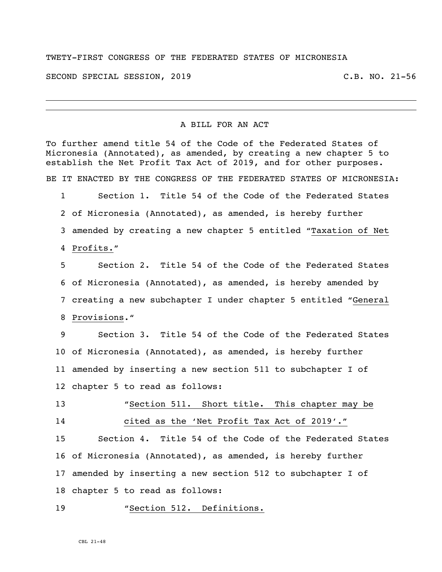#### TWETY-FIRST CONGRESS OF THE FEDERATED STATES OF MICRONESIA

SECOND SPECIAL SESSION, 2019 C.B. NO. 21-56

#### A BILL FOR AN ACT

To further amend title 54 of the Code of the Federated States of Micronesia (Annotated), as amended, by creating a new chapter 5 to establish the Net Profit Tax Act of 2019, and for other purposes. BE IT ENACTED BY THE CONGRESS OF THE FEDERATED STATES OF MICRONESIA: Section 1. Title 54 of the Code of the Federated States of Micronesia (Annotated), as amended, is hereby further amended by creating a new chapter 5 entitled "Taxation of Net

Profits."

 Section 2. Title 54 of the Code of the Federated States of Micronesia (Annotated), as amended, is hereby amended by creating a new subchapter I under chapter 5 entitled "General Provisions."

 Section 3. Title 54 of the Code of the Federated States of Micronesia (Annotated), as amended, is hereby further amended by inserting a new section 511 to subchapter I of chapter 5 to read as follows:

 "Section 511. Short title**.** This chapter may be cited as the 'Net Profit Tax Act of 2019'."

 Section 4. Title 54 of the Code of the Federated States of Micronesia (Annotated), as amended, is hereby further amended by inserting a new section 512 to subchapter I of chapter 5 to read as follows:

### "Section 512. Definitions.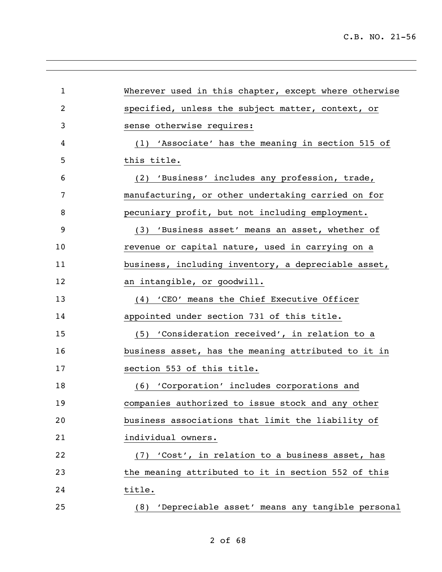| $\mathbf{1}$   | Wherever used in this chapter, except where otherwise |
|----------------|-------------------------------------------------------|
| $\overline{2}$ | specified, unless the subject matter, context, or     |
| 3              | sense otherwise requires:                             |
| 4              | (1) 'Associate' has the meaning in section 515 of     |
| 5              | this title.                                           |
| 6              | (2) 'Business' includes any profession, trade,        |
| 7              | manufacturing, or other undertaking carried on for    |
| 8              | pecuniary profit, but not including employment.       |
| 9              | (3) 'Business asset' means an asset, whether of       |
| 10             | revenue or capital nature, used in carrying on a      |
| 11             | business, including inventory, a depreciable asset,   |
| 12             | an intangible, or goodwill.                           |
| 13             | (4) 'CEO' means the Chief Executive Officer           |
| 14             | appointed under section 731 of this title.            |
| 15             | (5) 'Consideration received', in relation to a        |
| 16             | business asset, has the meaning attributed to it in   |
| 17             | section 553 of this title.                            |
| 18             | (6) 'Corporation' includes corporations and           |
| 19             | companies authorized to issue stock and any other     |
| 20             | business associations that limit the liability of     |
| 21             | individual owners.                                    |
| 22             | (7) 'Cost', in relation to a business asset, has      |
| 23             | the meaning attributed to it in section 552 of this   |
| 24             | title.                                                |
| 25             | (8) 'Depreciable asset' means any tangible personal   |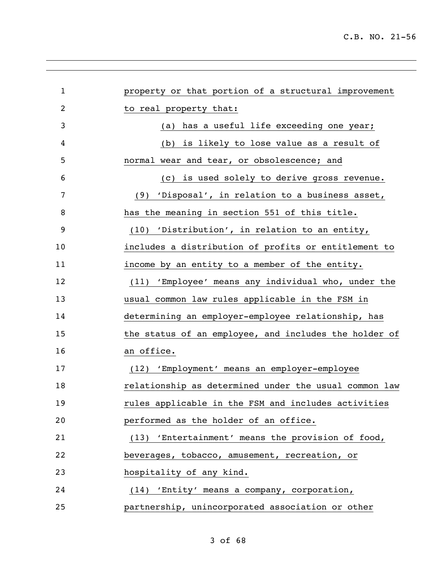| $\mathbf 1$ | property or that portion of a structural improvement  |
|-------------|-------------------------------------------------------|
| 2           | to real property that:                                |
| 3           | has a useful life exceeding one year;<br>(a)          |
| 4           | (b) is likely to lose value as a result of            |
| 5           | normal wear and tear, or obsolescence; and            |
| 6           | (c) is used solely to derive gross revenue.           |
| 7           | (9) 'Disposal', in relation to a business asset,      |
| 8           | has the meaning in section 551 of this title.         |
| 9           | (10) 'Distribution', in relation to an entity,        |
| 10          | includes a distribution of profits or entitlement to  |
| 11          | income by an entity to a member of the entity.        |
| 12          | (11) 'Employee' means any individual who, under the   |
| 13          | usual common law rules applicable in the FSM in       |
| 14          | determining an employer-employee relationship, has    |
| 15          | the status of an employee, and includes the holder of |
| 16          | an office.                                            |
| 17          | (12) 'Employment' means an employer-employee          |
| 18          | relationship as determined under the usual common law |
| 19          | rules applicable in the FSM and includes activities   |
| 20          | performed as the holder of an office.                 |
| 21          | (13) 'Entertainment' means the provision of food,     |
| 22          | beverages, tobacco, amusement, recreation, or         |
| 23          | hospitality of any kind.                              |
| 24          | (14) 'Entity' means a company, corporation,           |
| 25          | partnership, unincorporated association or other      |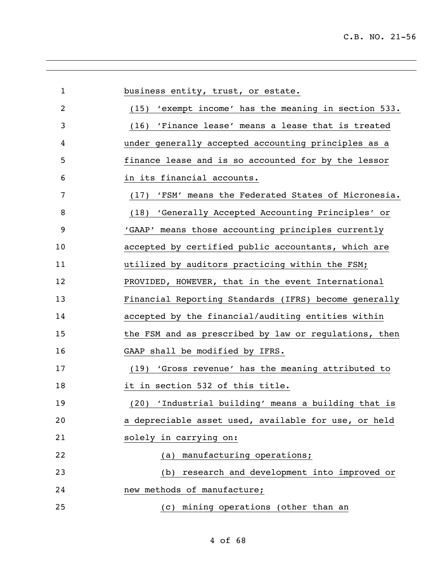| $\mathbf{1}$ | business entity, trust, or estate.                      |
|--------------|---------------------------------------------------------|
| 2            | (15) 'exempt income' has the meaning in section 533.    |
| 3            | (16) 'Finance lease' means a lease that is treated      |
| 4            | under generally accepted accounting principles as a     |
| 5            | finance lease and is so accounted for by the lessor     |
| 6            | in its financial accounts.                              |
| 7            | 'FSM' means the Federated States of Micronesia.<br>(17) |
| 8            | (18) 'Generally Accepted Accounting Principles' or      |
| 9            | 'GAAP' means those accounting principles currently      |
| 10           | accepted by certified public accountants, which are     |
| 11           | utilized by auditors practicing within the FSM;         |
| 12           | PROVIDED, HOWEVER, that in the event International      |
| 13           | Financial Reporting Standards (IFRS) become generally   |
| 14           | accepted by the financial/auditing entities within      |
| 15           | the FSM and as prescribed by law or regulations, then   |
| 16           | GAAP shall be modified by IFRS.                         |
| 17           | 'Gross revenue' has the meaning attributed to<br>(19)   |
| 18           | it in section 532 of this title.                        |
| 19           | (20) 'Industrial building' means a building that is     |
| 20           | a depreciable asset used, available for use, or held    |
| 21           | solely in carrying on:                                  |
| 22           | manufacturing operations;<br>(a)                        |
| 23           | research and development into improved or<br>(b)        |
| 24           | new methods of manufacture;                             |
| 25           | (c) mining operations (other than an                    |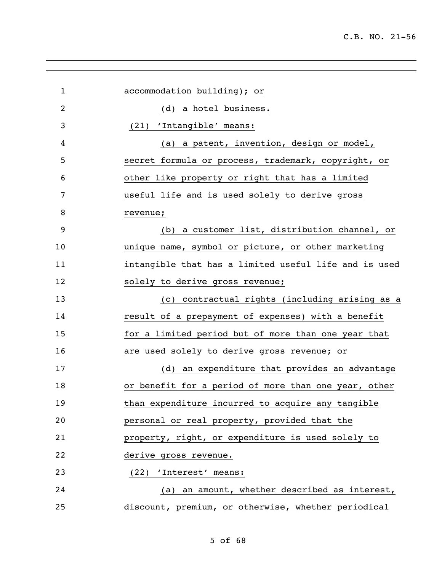| $\mathbf{1}$ | accommodation building); or                           |
|--------------|-------------------------------------------------------|
| 2            | (d) a hotel business.                                 |
| 3            | (21) 'Intangible' means:                              |
| 4            | (a) a patent, invention, design or model,             |
| 5            | secret formula or process, trademark, copyright, or   |
| 6            | other like property or right that has a limited       |
| 7            | useful life and is used solely to derive gross        |
| 8            | revenue;                                              |
| 9            | (b) a customer list, distribution channel, or         |
| 10           | unique name, symbol or picture, or other marketing    |
| 11           | intangible that has a limited useful life and is used |
| 12           | solely to derive gross revenue;                       |
| 13           | (c) contractual rights (including arising as a        |
| 14           | result of a prepayment of expenses) with a benefit    |
| 15           | for a limited period but of more than one year that   |
| 16           | are used solely to derive gross revenue; or           |
| 17           | (d) an expenditure that provides an advantage         |
| 18           | or benefit for a period of more than one year, other  |
| 19           | than expenditure incurred to acquire any tangible     |
| 20           | personal or real property, provided that the          |
| 21           | property, right, or expenditure is used solely to     |
| 22           | derive gross revenue.                                 |
| 23           | (22) 'Interest' means:                                |
| 24           | (a) an amount, whether described as interest,         |
| 25           | discount, premium, or otherwise, whether periodical   |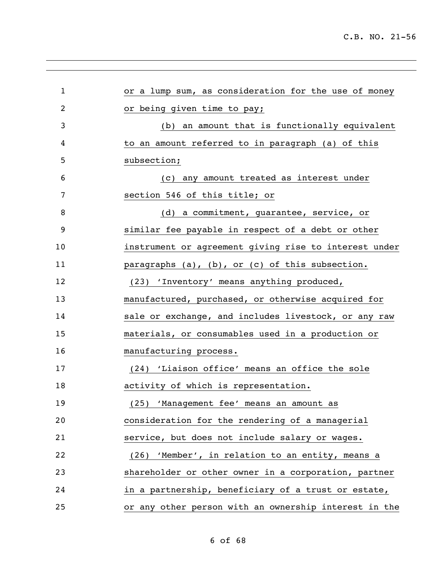| $\mathbf 1$ | or a lump sum, as consideration for the use of money  |
|-------------|-------------------------------------------------------|
| 2           | or being given time to pay;                           |
| 3           | (b) an amount that is functionally equivalent         |
| 4           | to an amount referred to in paragraph (a) of this     |
| 5           | subsection;                                           |
| 6           | (c) any amount treated as interest under              |
| 7           | section 546 of this title; or                         |
| 8           | (d) a commitment, guarantee, service, or              |
| 9           | similar fee payable in respect of a debt or other     |
| 10          | instrument or agreement giving rise to interest under |
| 11          | paragraphs (a), (b), or (c) of this subsection.       |
| 12          | (23) 'Inventory' means anything produced,             |
| 13          | manufactured, purchased, or otherwise acquired for    |
| 14          | sale or exchange, and includes livestock, or any raw  |
| 15          | materials, or consumables used in a production or     |
| 16          | manufacturing process.                                |
| 17          | (24) 'Liaison office' means an office the sole        |
| 18          | activity of which is representation.                  |
| 19          | (25) 'Management fee' means an amount as              |
| 20          | consideration for the rendering of a managerial       |
| 21          | service, but does not include salary or wages.        |
| 22          | (26) 'Member', in relation to an entity, means a      |
| 23          | shareholder or other owner in a corporation, partner  |
| 24          | in a partnership, beneficiary of a trust or estate,   |
| 25          | or any other person with an ownership interest in the |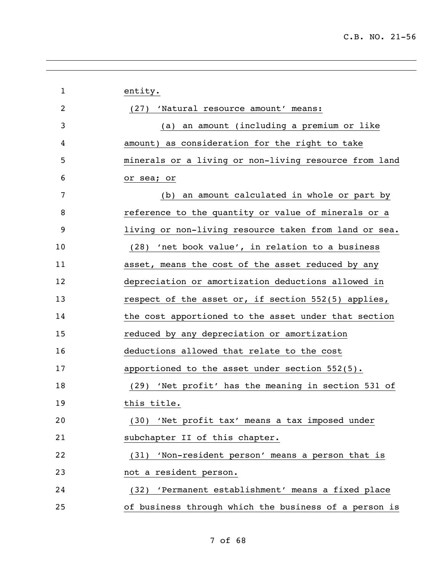| $\mathbf 1$ | entity.                                               |
|-------------|-------------------------------------------------------|
| 2           | (27) 'Natural resource amount' means:                 |
| 3           | an amount (including a premium or like<br>(a)         |
| 4           | amount) as consideration for the right to take        |
| 5           | minerals or a living or non-living resource from land |
| 6           | or sea; or                                            |
| 7           | an amount calculated in whole or part by<br>(b)       |
| 8           | reference to the quantity or value of minerals or a   |
| 9           | living or non-living resource taken from land or sea. |
| 10          | (28) 'net book value', in relation to a business      |
| 11          | asset, means the cost of the asset reduced by any     |
| 12          | depreciation or amortization deductions allowed in    |
| 13          | respect of the asset or, if section 552(5) applies,   |
| 14          | the cost apportioned to the asset under that section  |
| 15          | reduced by any depreciation or amortization           |
| 16          | deductions allowed that relate to the cost            |
| 17          | apportioned to the asset under section $552(5)$ .     |
| 18          | (29) 'Net profit' has the meaning in section 531 of   |
| 19          | this title.                                           |
| 20          | (30) 'Net profit tax' means a tax imposed under       |
| 21          | subchapter II of this chapter.                        |
| 22          | (31) 'Non-resident person' means a person that is     |
| 23          | not a resident person.                                |
| 24          | (32) 'Permanent establishment' means a fixed place    |
| 25          | of business through which the business of a person is |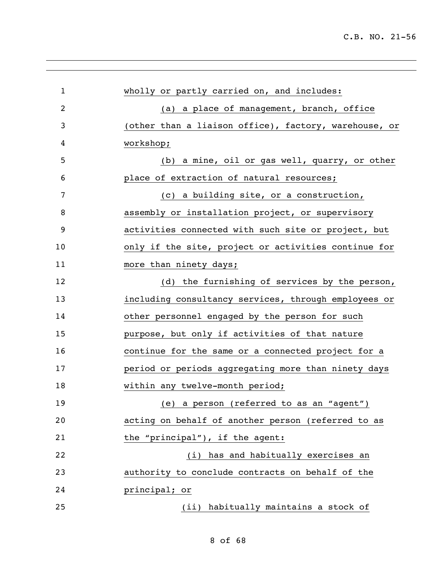| $\mathbf{1}$   | wholly or partly carried on, and includes:            |
|----------------|-------------------------------------------------------|
| $\overline{2}$ | (a) a place of management, branch, office             |
| 3              | (other than a liaison office), factory, warehouse, or |
| 4              | workshop;                                             |
| 5              | (b) a mine, oil or gas well, quarry, or other         |
| 6              | place of extraction of natural resources;             |
| 7              | (c) a building site, or a construction,               |
| 8              | assembly or installation project, or supervisory      |
| 9              | activities connected with such site or project, but   |
| 10             | only if the site, project or activities continue for  |
| 11             | more than ninety days;                                |
| 12             | (d) the furnishing of services by the person,         |
| 13             | including consultancy services, through employees or  |
| 14             | other personnel engaged by the person for such        |
| 15             | purpose, but only if activities of that nature        |
| 16             | continue for the same or a connected project for a    |
| 17             | period or periods aggregating more than ninety days   |
| 18             | within any twelve-month period;                       |
| 19             | (e) a person (referred to as an "agent")              |
| 20             | acting on behalf of another person (referred to as    |
| 21             | the "principal"), if the agent:                       |
| 22             | (i) has and habitually exercises an                   |
| 23             | authority to conclude contracts on behalf of the      |
| 24             | principal; or                                         |
| 25             | (ii) habitually maintains a stock of                  |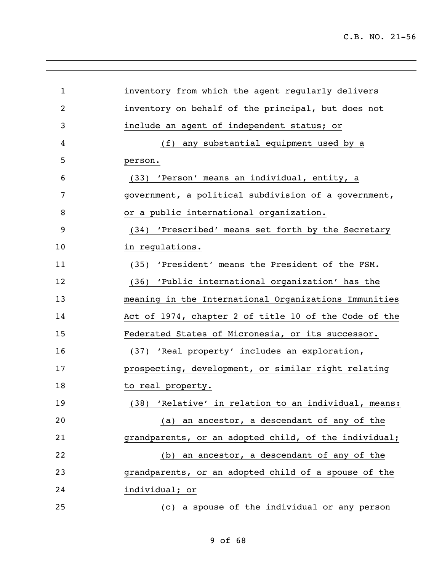| $\mathbf{1}$ | inventory from which the agent regularly delivers     |
|--------------|-------------------------------------------------------|
| 2            | inventory on behalf of the principal, but does not    |
| 3            | include an agent of independent status; or            |
| 4            | (f) any substantial equipment used by a               |
| 5            | person.                                               |
| 6            | (33) 'Person' means an individual, entity, a          |
| 7            | government, a political subdivision of a government,  |
| 8            | or a public international organization.               |
| 9            | (34) 'Prescribed' means set forth by the Secretary    |
| 10           | in regulations.                                       |
| 11           | (35) 'President' means the President of the FSM.      |
| 12           | (36) 'Public international organization' has the      |
| 13           | meaning in the International Organizations Immunities |
| 14           | Act of 1974, chapter 2 of title 10 of the Code of the |
| 15           | Federated States of Micronesia, or its successor.     |
| 16           | (37) 'Real property' includes an exploration,         |
| 17           | prospecting, development, or similar right relating   |
| 18           | to real property.                                     |
| 19           | (38) 'Relative' in relation to an individual, means:  |
| 20           | (a) an ancestor, a descendant of any of the           |
| 21           | grandparents, or an adopted child, of the individual; |
| 22           | (b) an ancestor, a descendant of any of the           |
| 23           | grandparents, or an adopted child of a spouse of the  |
| 24           | individual; or                                        |
| 25           | (c) a spouse of the individual or any person          |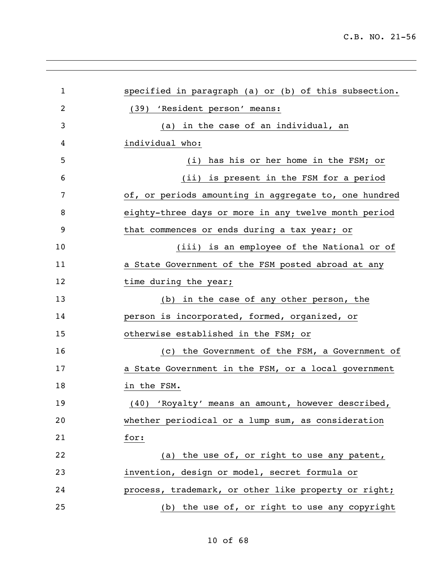| $\mathbf 1$ | specified in paragraph (a) or (b) of this subsection. |
|-------------|-------------------------------------------------------|
| 2           | (39) 'Resident person' means:                         |
| 3           | in the case of an individual, an<br>(a)               |
| 4           | individual who:                                       |
| 5           | has his or her home in the FSM; or<br>(i)             |
| 6           | (ii) is present in the FSM for a period               |
| 7           | of, or periods amounting in aggregate to, one hundred |
| 8           | eighty-three days or more in any twelve month period  |
| 9           | that commences or ends during a tax year; or          |
| 10          | (iii) is an employee of the National or of            |
| 11          | a State Government of the FSM posted abroad at any    |
| 12          | time during the year;                                 |
| 13          | in the case of any other person, the<br>(b)           |
| 14          | person is incorporated, formed, organized, or         |
| 15          | otherwise established in the FSM; or                  |
| 16          | (c) the Government of the FSM, a Government of        |
| 17          | a State Government in the FSM, or a local government  |
| 18          | in the FSM.                                           |
| 19          | (40) 'Royalty' means an amount, however described,    |
| 20          | whether periodical or a lump sum, as consideration    |
| 21          | for:                                                  |
| 22          | (a) the use of, or right to use any patent,           |
| 23          | invention, design or model, secret formula or         |
| 24          | process, trademark, or other like property or right;  |
| 25          | (b) the use of, or right to use any copyright         |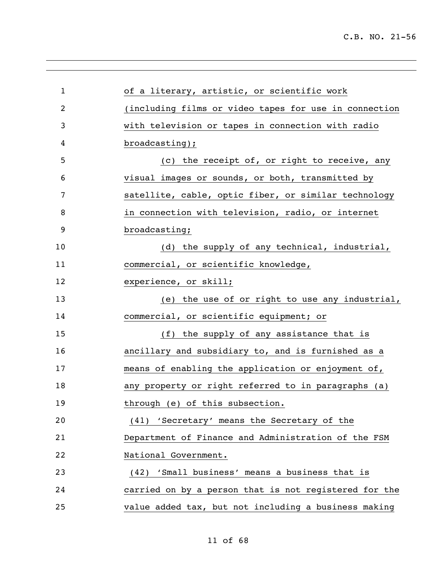| $\mathbf 1$    | of a literary, artistic, or scientific work           |
|----------------|-------------------------------------------------------|
| $\overline{2}$ | (including films or video tapes for use in connection |
| 3              | with television or tapes in connection with radio     |
| 4              | broadcasting);                                        |
| 5              | (c) the receipt of, or right to receive, any          |
| 6              | visual images or sounds, or both, transmitted by      |
| 7              | satellite, cable, optic fiber, or similar technology  |
| 8              | in connection with television, radio, or internet     |
| 9              | broadcasting;                                         |
| 10             | (d) the supply of any technical, industrial,          |
| 11             | commercial, or scientific knowledge,                  |
| 12             | experience, or skill;                                 |
| 13             | (e) the use of or right to use any industrial,        |
| 14             | commercial, or scientific equipment; or               |
| 15             | (f) the supply of any assistance that is              |
| 16             | ancillary and subsidiary to, and is furnished as a    |
| 17             | means of enabling the application or enjoyment of,    |
| 18             | any property or right referred to in paragraphs (a)   |
| 19             | through (e) of this subsection.                       |
| 20             | (41) 'Secretary' means the Secretary of the           |
| 21             | Department of Finance and Administration of the FSM   |
| 22             | National Government.                                  |
| 23             | (42) 'Small business' means a business that is        |
| 24             | carried on by a person that is not registered for the |
| 25             | value added tax, but not including a business making  |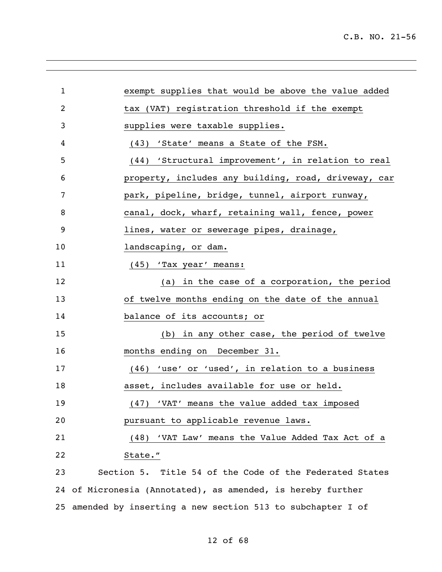| $\mathbf{1}$   | exempt supplies that would be above the value added         |
|----------------|-------------------------------------------------------------|
| $\overline{2}$ | tax (VAT) registration threshold if the exempt              |
| 3              | supplies were taxable supplies.                             |
| 4              | (43) 'State' means a State of the FSM.                      |
| 5              | (44) 'Structural improvement', in relation to real          |
| 6              | property, includes any building, road, driveway, car        |
| 7              | park, pipeline, bridge, tunnel, airport runway,             |
| 8              | canal, dock, wharf, retaining wall, fence, power            |
| 9              | lines, water or sewerage pipes, drainage,                   |
| 10             | landscaping, or dam.                                        |
| 11             | (45) 'Tax year' means:                                      |
| 12             | (a) in the case of a corporation, the period                |
| 13             | of twelve months ending on the date of the annual           |
| 14             | balance of its accounts; or                                 |
| 15             | (b) in any other case, the period of twelve                 |
| 16             | months ending on December 31.                               |
| 17             | (46) 'use' or 'used', in relation to a business             |
| 18             | asset, includes available for use or held.                  |
| 19             | (47) 'VAT' means the value added tax imposed                |
| 20             | pursuant to applicable revenue laws.                        |
| 21             | (48) 'VAT Law' means the Value Added Tax Act of a           |
| 22             | State."                                                     |
| 23             | Section 5. Title 54 of the Code of the Federated States     |
|                | 24 of Micronesia (Annotated), as amended, is hereby further |

amended by inserting a new section 513 to subchapter I of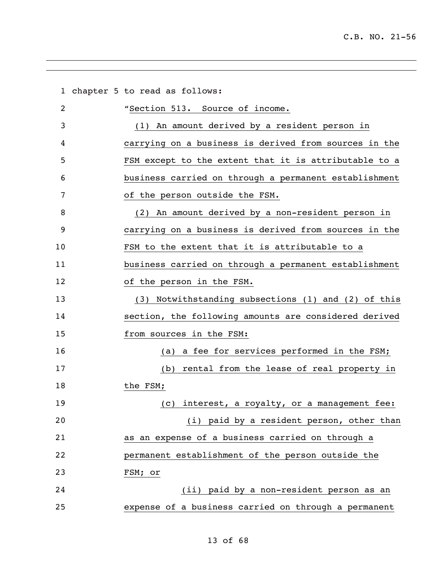| $\mathbf{1}$ | chapter 5 to read as follows:                         |
|--------------|-------------------------------------------------------|
| 2            | "Section 513. Source of income.                       |
| 3            | (1) An amount derived by a resident person in         |
| 4            | carrying on a business is derived from sources in the |
| 5            | FSM except to the extent that it is attributable to a |
| 6            | business carried on through a permanent establishment |
| 7            | of the person outside the FSM.                        |
| 8            | (2) An amount derived by a non-resident person in     |
| 9            | carrying on a business is derived from sources in the |
| 10           | FSM to the extent that it is attributable to a        |
| 11           | business carried on through a permanent establishment |
| 12           | of the person in the FSM.                             |
| 13           | (3) Notwithstanding subsections (1) and (2) of this   |
| 14           | section, the following amounts are considered derived |
| 15           | from sources in the FSM:                              |
| 16           | a fee for services performed in the FSM;<br>(a)       |
| 17           | rental from the lease of real property in<br>(b)      |
| 18           | the FSM;                                              |
| 19           | (c) interest, a royalty, or a management fee:         |
| 20           | (i) paid by a resident person, other than             |
| 21           | as an expense of a business carried on through a      |
| 22           | permanent establishment of the person outside the     |
| 23           | FSM; or                                               |
| 24           | (ii) paid by a non-resident person as an              |
| 25           | expense of a business carried on through a permanent  |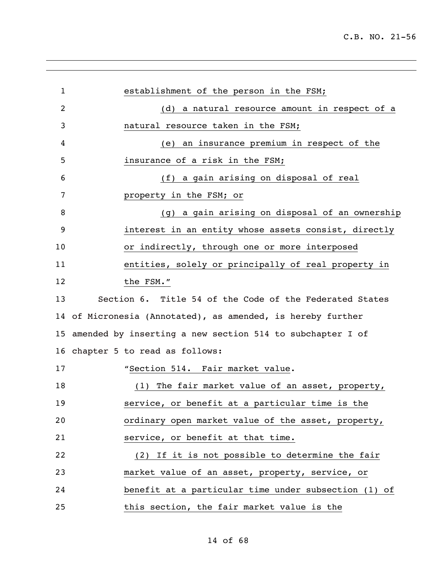| 1              | establishment of the person in the FSM;                      |
|----------------|--------------------------------------------------------------|
| $\overline{2}$ | (d) a natural resource amount in respect of a                |
| 3              | natural resource taken in the FSM;                           |
| 4              | (e) an insurance premium in respect of the                   |
| 5              | insurance of a risk in the FSM;                              |
| 6              | (f) a gain arising on disposal of real                       |
| 7              | property in the FSM; or                                      |
| 8              | (g) a gain arising on disposal of an ownership               |
| 9              | interest in an entity whose assets consist, directly         |
| 10             | or indirectly, through one or more interposed                |
| 11             | entities, solely or principally of real property in          |
| 12             | the FSM."                                                    |
| 13             | Section 6. Title 54 of the Code of the Federated States      |
|                | 14 of Micronesia (Annotated), as amended, is hereby further  |
|                | 15 amended by inserting a new section 514 to subchapter I of |
|                | 16 chapter 5 to read as follows:                             |
| 17             | "Section 514. Fair market value.                             |
| 18             | The fair market value of an asset, property,<br>(1)          |
| 19             | service, or benefit at a particular time is the              |
| 20             | ordinary open market value of the asset, property,           |
| 21             | service, or benefit at that time.                            |
| 22             | (2) If it is not possible to determine the fair              |
| 23             | market value of an asset, property, service, or              |
| 24             | benefit at a particular time under subsection (1) of         |
| 25             | this section, the fair market value is the                   |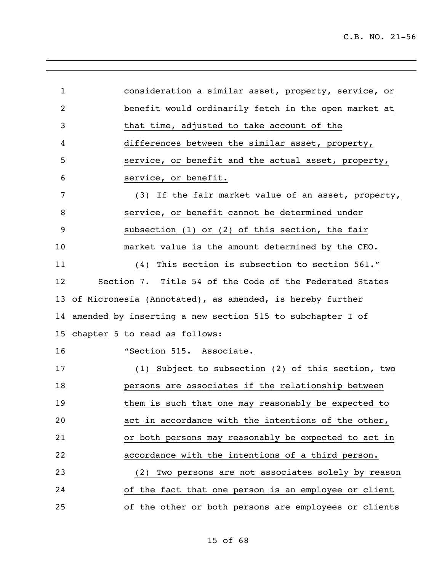| $\mathbf{1}$   | consideration a similar asset, property, service, or         |
|----------------|--------------------------------------------------------------|
| $\overline{2}$ | benefit would ordinarily fetch in the open market at         |
| 3              | that time, adjusted to take account of the                   |
| 4              | differences between the similar asset, property,             |
| 5              | service, or benefit and the actual asset, property,          |
| 6              | service, or benefit.                                         |
| 7              | (3) If the fair market value of an asset, property,          |
| 8              | service, or benefit cannot be determined under               |
| 9              | subsection $(1)$ or $(2)$ of this section, the fair          |
| 10             | market value is the amount determined by the CEO.            |
| 11             | (4) This section is subsection to section 561."              |
| 12             | Section 7. Title 54 of the Code of the Federated States      |
|                | 13 of Micronesia (Annotated), as amended, is hereby further  |
|                |                                                              |
|                | 14 amended by inserting a new section 515 to subchapter I of |
|                | 15 chapter 5 to read as follows:                             |
| 16             | "Section 515. Associate.                                     |
| 17             | (1) Subject to subsection (2) of this section, two           |
| 18             | persons are associates if the relationship between           |
| 19             | them is such that one may reasonably be expected to          |
| 20             | act in accordance with the intentions of the other,          |
| 21             | or both persons may reasonably be expected to act in         |
| 22             | accordance with the intentions of a third person.            |
| 23             | (2) Two persons are not associates solely by reason          |
| 24             | of the fact that one person is an employee or client         |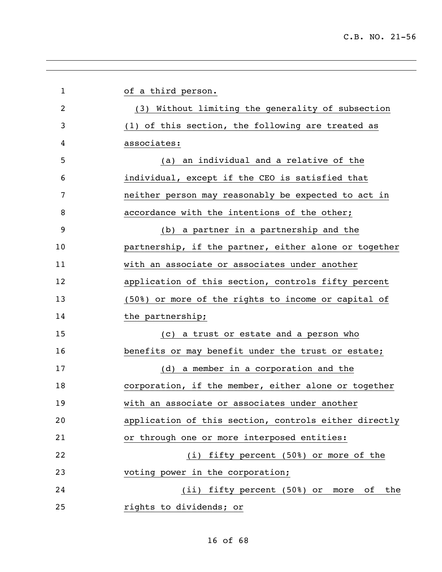| $\mathbf{1}$ | of a third person.                                    |
|--------------|-------------------------------------------------------|
| 2            | (3) Without limiting the generality of subsection     |
| 3            | (1) of this section, the following are treated as     |
| 4            | associates:                                           |
| 5            | an individual and a relative of the<br>(a)            |
| 6            | individual, except if the CEO is satisfied that       |
| 7            | neither person may reasonably be expected to act in   |
| 8            | accordance with the intentions of the other;          |
| 9            | (b) a partner in a partnership and the                |
| 10           | partnership, if the partner, either alone or together |
| 11           | with an associate or associates under another         |
| 12           | application of this section, controls fifty percent   |
| 13           | (50%) or more of the rights to income or capital of   |
| 14           | the partnership;                                      |
| 15           | (c) a trust or estate and a person who                |
| 16           | benefits or may benefit under the trust or estate;    |
| 17           | (d) a member in a corporation and the                 |
| 18           | corporation, if the member, either alone or together  |
| 19           | with an associate or associates under another         |
| 20           | application of this section, controls either directly |
| 21           | or through one or more interposed entities:           |
| 22           | (i) fifty percent (50%) or more of the                |
| 23           | voting power in the corporation;                      |
| 24           | (ii) fifty percent (50%) or<br>оf<br>the<br>more      |
| 25           | rights to dividends; or                               |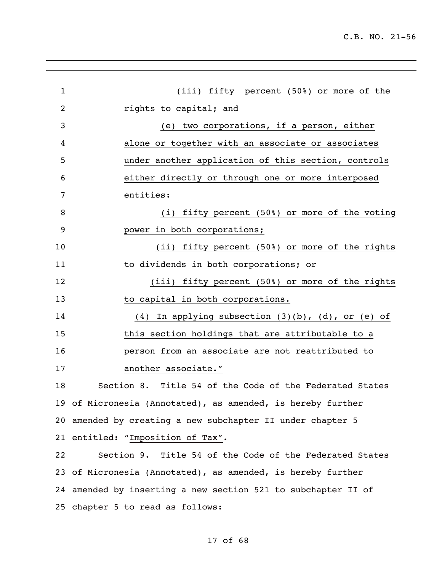| $\mathbf{1}$ | (iii) fifty percent (50%) or more of the                    |
|--------------|-------------------------------------------------------------|
| 2            | rights to capital; and                                      |
| 3            | (e) two corporations, if a person, either                   |
| 4            | alone or together with an associate or associates           |
| 5            | under another application of this section, controls         |
| 6            | either directly or through one or more interposed           |
| 7            | entities:                                                   |
| 8            | (i) fifty percent (50%) or more of the voting               |
| 9            | power in both corporations;                                 |
| 10           | (ii) fifty percent (50%) or more of the rights              |
| 11           | to dividends in both corporations; or                       |
| 12           | (iii) fifty percent (50%) or more of the rights             |
| 13           | to capital in both corporations.                            |
| 14           | (4) In applying subsection $(3)(b)$ , $(d)$ , or $(e)$ of   |
| 15           | this section holdings that are attributable to a            |
| 16           | person from an associate are not reattributed to            |
| 17           | another associate."                                         |
| 18           | Section 8. Title 54 of the Code of the Federated States     |
|              | 19 of Micronesia (Annotated), as amended, is hereby further |
|              | 20 amended by creating a new subchapter II under chapter 5  |
|              | 21 entitled: "Imposition of Tax".                           |
| 22           | Section 9. Title 54 of the Code of the Federated States     |
|              | 23 of Micronesia (Annotated), as amended, is hereby further |

chapter 5 to read as follows:

of 68

amended by inserting a new section 521 to subchapter II of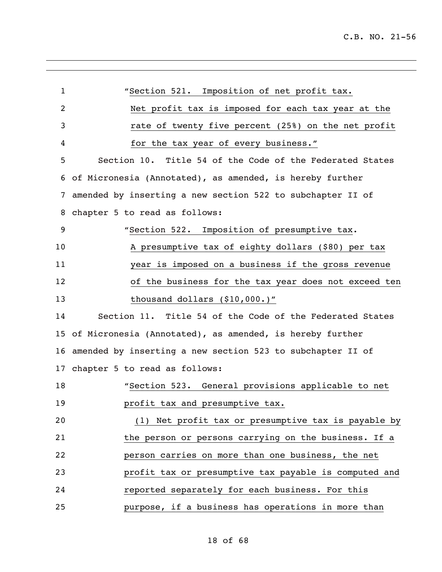| $\mathbf{1}$ | "Section 521. Imposition of net profit tax.                   |
|--------------|---------------------------------------------------------------|
| 2            | Net profit tax is imposed for each tax year at the            |
| 3            | rate of twenty five percent (25%) on the net profit           |
| 4            | for the tax year of every business."                          |
| 5            | Section 10. Title 54 of the Code of the Federated States      |
| 6            | of Micronesia (Annotated), as amended, is hereby further      |
| 7            | amended by inserting a new section 522 to subchapter II of    |
| 8            | chapter 5 to read as follows:                                 |
| 9            | "Section 522. Imposition of presumptive tax.                  |
| 10           | A presumptive tax of eighty dollars (\$80) per tax            |
| 11           | year is imposed on a business if the gross revenue            |
| 12           | of the business for the tax year does not exceed ten          |
| 13           | thousand dollars (\$10,000.)"                                 |
| 14           | Section 11. Title 54 of the Code of the Federated States      |
| 15           | of Micronesia (Annotated), as amended, is hereby further      |
|              | 16 amended by inserting a new section 523 to subchapter II of |
| 17           | chapter 5 to read as follows:                                 |
| 18           | "Section 523. General provisions applicable to net            |
| 19           | profit tax and presumptive tax.                               |
| 20           | (1) Net profit tax or presumptive tax is payable by           |
| 21           | the person or persons carrying on the business. If a          |
| 22           | person carries on more than one business, the net             |
| 23           | profit tax or presumptive tax payable is computed and         |
| 24           | reported separately for each business. For this               |
| 25           | purpose, if a business has operations in more than            |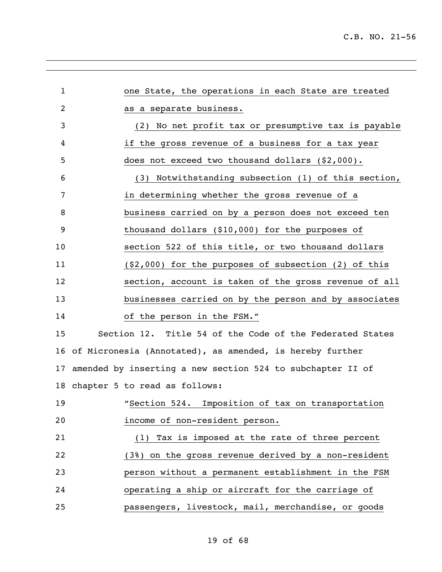| $\mathbf{1}$ | one State, the operations in each State are treated           |
|--------------|---------------------------------------------------------------|
| 2            | as a separate business.                                       |
| 3            | (2) No net profit tax or presumptive tax is payable           |
| 4            | if the gross revenue of a business for a tax year             |
| 5            | does not exceed two thousand dollars (\$2,000).               |
| 6            | (3) Notwithstanding subsection (1) of this section,           |
| 7            | in determining whether the gross revenue of a                 |
| 8            | business carried on by a person does not exceed ten           |
| 9            | thousand dollars (\$10,000) for the purposes of               |
| 10           | section 522 of this title, or two thousand dollars            |
| 11           | $(52,000)$ for the purposes of subsection (2) of this         |
| 12           | section, account is taken of the gross revenue of all         |
| 13           | businesses carried on by the person and by associates         |
| 14           | of the person in the FSM."                                    |
| 15           | Section 12. Title 54 of the Code of the Federated States      |
|              | 16 of Micronesia (Annotated), as amended, is hereby further   |
|              | 17 amended by inserting a new section 524 to subchapter II of |
|              | 18 chapter 5 to read as follows:                              |
| 19           | "Section 524. Imposition of tax on transportation             |
| 20           | income of non-resident person.                                |
| 21           | (1) Tax is imposed at the rate of three percent               |
| 22           | (3%) on the gross revenue derived by a non-resident           |
| 23           | person without a permanent establishment in the FSM           |
| 24           | operating a ship or aircraft for the carriage of              |
| 25           | passengers, livestock, mail, merchandise, or goods            |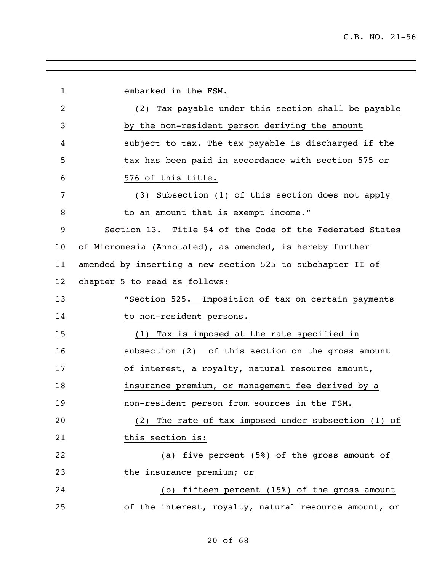| $\mathbf{1}$ | embarked in the FSM.                                       |
|--------------|------------------------------------------------------------|
| 2            | (2) Tax payable under this section shall be payable        |
| 3            | by the non-resident person deriving the amount             |
| 4            | subject to tax. The tax payable is discharged if the       |
| 5            | tax has been paid in accordance with section 575 or        |
| 6            | 576 of this title.                                         |
| 7            | (3) Subsection (1) of this section does not apply          |
| 8            | to an amount that is exempt income."                       |
| 9            | Section 13. Title 54 of the Code of the Federated States   |
| 10           | of Micronesia (Annotated), as amended, is hereby further   |
| 11           | amended by inserting a new section 525 to subchapter II of |
| 12           | chapter 5 to read as follows:                              |
| 13           | "Section 525. Imposition of tax on certain payments        |
| 14           | to non-resident persons.                                   |
| 15           | (1) Tax is imposed at the rate specified in                |
| 16           | subsection (2) of this section on the gross amount         |
| 17           | of interest, a royalty, natural resource amount,           |
| 18           | insurance premium, or management fee derived by a          |
| 19           | non-resident person from sources in the FSM.               |
| 20           | (2) The rate of tax imposed under subsection (1) of        |
| 21           | this section is:                                           |
| 22           | (a) five percent (5%) of the gross amount of               |
| 23           | the insurance premium; or                                  |
| 24           | (b) fifteen percent (15%) of the gross amount              |
| 25           | of the interest, royalty, natural resource amount, or      |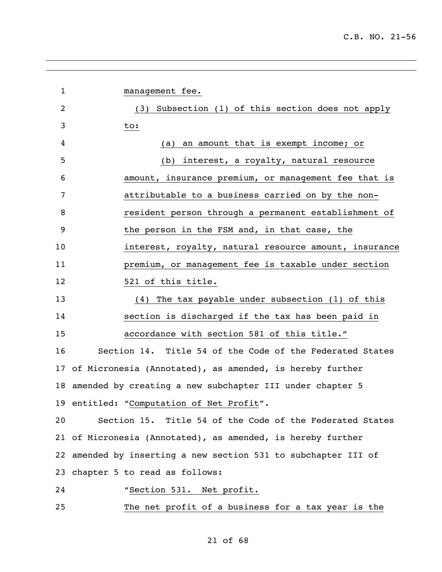| $\mathbf{1}$   | management fee.                                                |
|----------------|----------------------------------------------------------------|
| $\overline{2}$ | (3) Subsection (1) of this section does not apply              |
| 3              | to:                                                            |
| 4              |                                                                |
|                | an amount that is exempt income; or<br>(a)                     |
| 5              | (b) interest, a royalty, natural resource                      |
| 6              | amount, insurance premium, or management fee that is           |
| 7              | attributable to a business carried on by the non-              |
| 8              | resident person through a permanent establishment of           |
| 9              | the person in the FSM and, in that case, the                   |
| 10             | interest, royalty, natural resource amount, insurance          |
| 11             | premium, or management fee is taxable under section            |
| 12             | 521 of this title.                                             |
| 13             | (4) The tax payable under subsection (1) of this               |
| 14             | section is discharged if the tax has been paid in              |
| 15             | accordance with section 581 of this title."                    |
| 16             | Section 14. Title 54 of the Code of the Federated States       |
| 17             | of Micronesia (Annotated), as amended, is hereby further       |
| 18             | amended by creating a new subchapter III under chapter 5       |
|                | 19 entitled: "Computation of Net Profit".                      |
| 20             | Section 15. Title 54 of the Code of the Federated States       |
|                | 21 of Micronesia (Annotated), as amended, is hereby further    |
|                | 22 amended by inserting a new section 531 to subchapter III of |
|                | 23 chapter 5 to read as follows:                               |
| 24             | "Section 531. Net profit.                                      |
| 25             | The net profit of a business for a tax year is the             |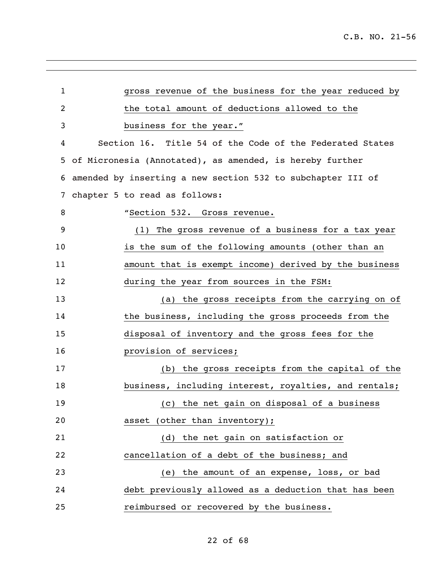| 1              | gross revenue of the business for the year reduced by       |
|----------------|-------------------------------------------------------------|
| $\overline{2}$ | the total amount of deductions allowed to the               |
| 3              | business for the year."                                     |
| 4              | Section 16. Title 54 of the Code of the Federated States    |
| 5.             | of Micronesia (Annotated), as amended, is hereby further    |
| 6              | amended by inserting a new section 532 to subchapter III of |
| 7              | chapter 5 to read as follows:                               |
| 8              | "Section 532. Gross revenue.                                |
| 9              | (1) The gross revenue of a business for a tax year          |
| 10             | is the sum of the following amounts (other than an          |
| 11             | amount that is exempt income) derived by the business       |
| 12             | during the year from sources in the FSM:                    |
| 13             | (a) the gross receipts from the carrying on of              |
| 14             | the business, including the gross proceeds from the         |
| 15             | disposal of inventory and the gross fees for the            |
| 16             | provision of services;                                      |
| 17             | (b) the gross receipts from the capital of the              |
| 18             | business, including interest, royalties, and rentals;       |
| 19             | (c) the net gain on disposal of a business                  |
| 20             | asset (other than inventory);                               |
| 21             | (d) the net gain on satisfaction or                         |
| 22             | cancellation of a debt of the business; and                 |
| 23             | (e) the amount of an expense, loss, or bad                  |
| 24             | debt previously allowed as a deduction that has been        |
| 25             | reimbursed or recovered by the business.                    |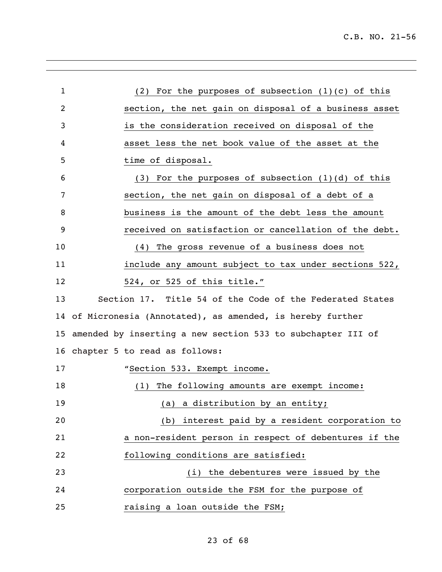| $\mathbf{1}$ | (2) For the purposes of subsection $(1)(c)$ of this         |
|--------------|-------------------------------------------------------------|
| 2            | section, the net gain on disposal of a business asset       |
| 3            | is the consideration received on disposal of the            |
| 4            | asset less the net book value of the asset at the           |
| 5            | time of disposal.                                           |
| 6            | $(3)$ For the purposes of subsection $(1)(d)$ of this       |
| 7            | section, the net gain on disposal of a debt of a            |
| 8            | business is the amount of the debt less the amount          |
| 9            | received on satisfaction or cancellation of the debt.       |
| 10           | (4) The gross revenue of a business does not                |
| 11           | include any amount subject to tax under sections 522,       |
| 12           | 524, or 525 of this title."                                 |
| 13           | Section 17. Title 54 of the Code of the Federated States    |
|              | 14 of Micronesia (Annotated), as amended, is hereby further |
| 15           | amended by inserting a new section 533 to subchapter III of |
|              | 16 chapter 5 to read as follows:                            |
| 17           | "Section 533. Exempt income.                                |
| 18           | The following amounts are exempt income:<br>(1)             |
| 19           | (a) a distribution by an entity;                            |
| 20           | (b) interest paid by a resident corporation to              |
| 21           | a non-resident person in respect of debentures if the       |
| 22           | following conditions are satisfied:                         |
| 23           | (i) the debentures were issued by the                       |
| 24           | corporation outside the FSM for the purpose of              |
| 25           | raising a loan outside the FSM;                             |

# of 68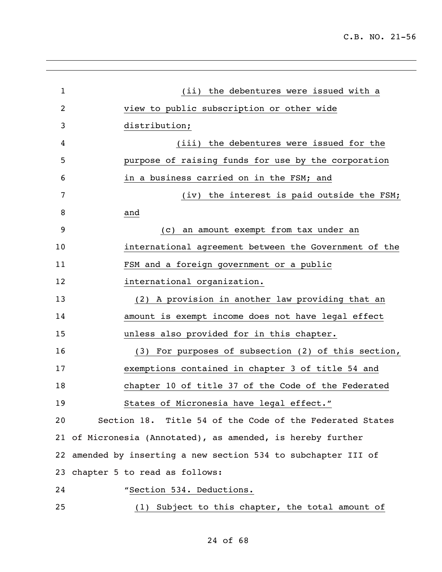| $\mathbf 1$ | (ii) the debentures were issued with a                         |
|-------------|----------------------------------------------------------------|
| 2           | view to public subscription or other wide                      |
| 3           | distribution;                                                  |
| 4           | (iii) the debentures were issued for the                       |
| 5           | purpose of raising funds for use by the corporation            |
| 6           | in a business carried on in the FSM; and                       |
| 7           | (iv) the interest is paid outside the FSM;                     |
| 8           | and                                                            |
| 9           | (c) an amount exempt from tax under an                         |
| 10          | international agreement between the Government of the          |
| 11          | FSM and a foreign government or a public                       |
| 12          | international organization.                                    |
| 13          | (2) A provision in another law providing that an               |
| 14          | amount is exempt income does not have legal effect             |
| 15          | unless also provided for in this chapter.                      |
| 16          | (3) For purposes of subsection (2) of this section,            |
| 17          | exemptions contained in chapter 3 of title 54 and              |
| 18          | chapter 10 of title 37 of the Code of the Federated            |
| 19          | States of Micronesia have legal effect."                       |
| 20          | Section 18. Title 54 of the Code of the Federated States       |
|             | 21 of Micronesia (Annotated), as amended, is hereby further    |
|             | 22 amended by inserting a new section 534 to subchapter III of |
|             | 23 chapter 5 to read as follows:                               |
| 24          | "Section 534. Deductions.                                      |
| 25          | (1) Subject to this chapter, the total amount of               |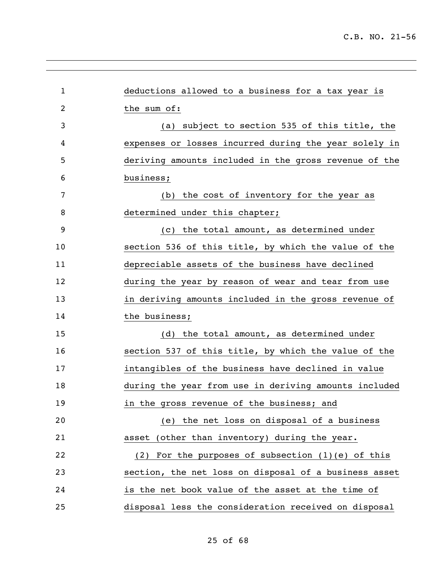| $\mathbf{1}$ | deductions allowed to a business for a tax year is    |
|--------------|-------------------------------------------------------|
| 2            | the sum of:                                           |
| 3            | (a) subject to section 535 of this title, the         |
| 4            | expenses or losses incurred during the year solely in |
| 5            | deriving amounts included in the gross revenue of the |
| 6            | business;                                             |
| 7            | the cost of inventory for the year as<br>(b)          |
| 8            | determined under this chapter;                        |
| 9            | (c) the total amount, as determined under             |
| 10           | section 536 of this title, by which the value of the  |
| 11           | depreciable assets of the business have declined      |
| 12           | during the year by reason of wear and tear from use   |
| 13           | in deriving amounts included in the gross revenue of  |
| 14           | the business;                                         |
| 15           | (d) the total amount, as determined under             |
| 16           | section 537 of this title, by which the value of the  |
| 17           | intangibles of the business have declined in value    |
| 18           | during the year from use in deriving amounts included |
| 19           | in the gross revenue of the business; and             |
| 20           | (e) the net loss on disposal of a business            |
| 21           | asset (other than inventory) during the year.         |
| 22           | (2) For the purposes of subsection $(1)(e)$ of this   |
| 23           | section, the net loss on disposal of a business asset |
| 24           | is the net book value of the asset at the time of     |
| 25           | disposal less the consideration received on disposal  |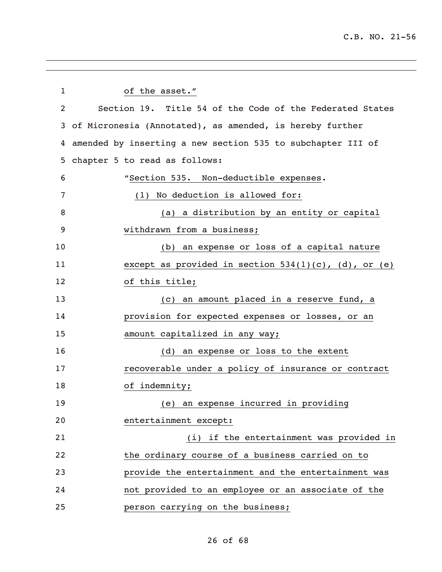| $\mathbf{1}$ | of the asset."                                              |
|--------------|-------------------------------------------------------------|
| 2            | Section 19. Title 54 of the Code of the Federated States    |
|              | 3 of Micronesia (Annotated), as amended, is hereby further  |
| 4            | amended by inserting a new section 535 to subchapter III of |
| 5            | chapter 5 to read as follows:                               |
| 6            | "Section 535. Non-deductible expenses.                      |
| 7            | No deduction is allowed for:<br>(1)                         |
| 8            | (a) a distribution by an entity or capital                  |
| 9            | withdrawn from a business;                                  |
| 10           | (b) an expense or loss of a capital nature                  |
| 11           | except as provided in section $534(1)(c)$ , (d), or (e)     |
| 12           | of this title;                                              |
| 13           | (c) an amount placed in a reserve fund, a                   |
| 14           | provision for expected expenses or losses, or an            |
| 15           | amount capitalized in any way;                              |
| 16           | (d) an expense or loss to the extent                        |
| 17           | recoverable under a policy of insurance or contract         |
| 18           | of indemnity;                                               |
| 19           | (e) an expense incurred in providing                        |
| 20           | entertainment except:                                       |
| 21           | (i) if the entertainment was provided in                    |
| 22           | the ordinary course of a business carried on to             |
| 23           | provide the entertainment and the entertainment was         |
| 24           | not provided to an employee or an associate of the          |
| 25           | person carrying on the business;                            |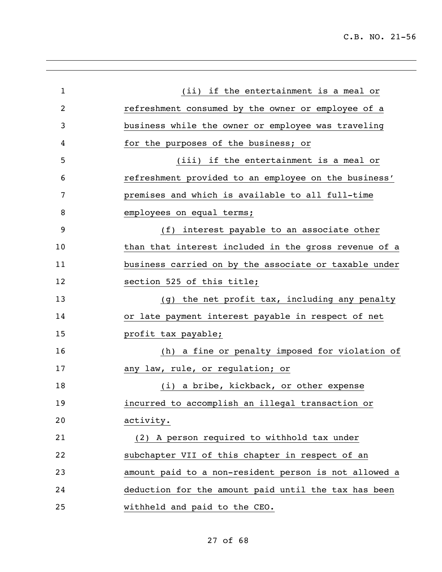| $\mathbf 1$    | (ii) if the entertainment is a meal or                |
|----------------|-------------------------------------------------------|
| $\overline{2}$ | refreshment consumed by the owner or employee of a    |
| 3              | business while the owner or employee was traveling    |
| 4              | for the purposes of the business; or                  |
| 5              | (iii) if the entertainment is a meal or               |
| 6              | refreshment provided to an employee on the business'  |
| 7              | premises and which is available to all full-time      |
| 8              | employees on equal terms;                             |
| 9              | (f) interest payable to an associate other            |
| 10             | than that interest included in the gross revenue of a |
| 11             | business carried on by the associate or taxable under |
| 12             | section 525 of this title;                            |
| 13             | (g) the net profit tax, including any penalty         |
| 14             | or late payment interest payable in respect of net    |
| 15             | profit tax payable;                                   |
| 16             | (h) a fine or penalty imposed for violation of        |
| 17             | any law, rule, or regulation; or                      |
| 18             | (i) a bribe, kickback, or other expense               |
| 19             | incurred to accomplish an illegal transaction or      |
| 20             | activity.                                             |
| 21             | (2) A person required to withhold tax under           |
| 22             | subchapter VII of this chapter in respect of an       |
| 23             | amount paid to a non-resident person is not allowed a |
| 24             | deduction for the amount paid until the tax has been  |
| 25             | withheld and paid to the CEO.                         |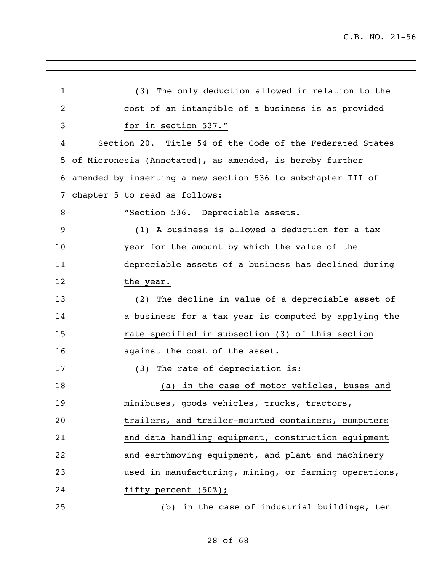| $\mathbf{1}$ | (3) The only deduction allowed in relation to the           |
|--------------|-------------------------------------------------------------|
| 2            | cost of an intangible of a business is as provided          |
| 3            | for in section 537."                                        |
| 4            | Section 20. Title 54 of the Code of the Federated States    |
| 5            | of Micronesia (Annotated), as amended, is hereby further    |
| 6            | amended by inserting a new section 536 to subchapter III of |
| 7            | chapter 5 to read as follows:                               |
| 8            | "Section 536. Depreciable assets.                           |
| 9            | (1) A business is allowed a deduction for a tax             |
| 10           | year for the amount by which the value of the               |
| 11           | depreciable assets of a business has declined during        |
| 12           | the year.                                                   |
| 13           | (2) The decline in value of a depreciable asset of          |
| 14           | a business for a tax year is computed by applying the       |
| 15           | rate specified in subsection (3) of this section            |
| 16           | against the cost of the asset.                              |
| 17           | The rate of depreciation is:<br>(3)                         |
| 18           | (a) in the case of motor vehicles, buses and                |
| 19           | minibuses, goods vehicles, trucks, tractors,                |
| 20           | trailers, and trailer-mounted containers, computers         |
| 21           | and data handling equipment, construction equipment         |
| 22           | and earthmoving equipment, and plant and machinery          |
| 23           | used in manufacturing, mining, or farming operations,       |
| 24           | fifty percent $(508)$ ;                                     |
| 25           | (b) in the case of industrial buildings, ten                |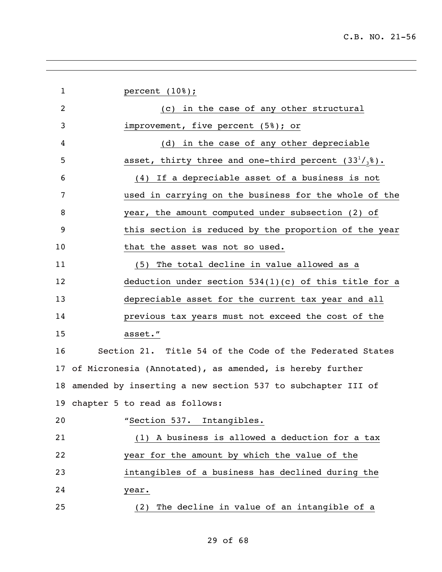| $\mathbf 1$ | percent $(108)$ ;                                              |
|-------------|----------------------------------------------------------------|
| 2           | (c) in the case of any other structural                        |
| 3           | improvement, five percent (5%); or                             |
| 4           | (d) in the case of any other depreciable                       |
| 5           | asset, thirty three and one-third percent $(33^1/_3)^8$ .      |
| 6           | (4) If a depreciable asset of a business is not                |
| 7           | used in carrying on the business for the whole of the          |
| 8           | year, the amount computed under subsection (2) of              |
| 9           | this section is reduced by the proportion of the year          |
| 10          | that the asset was not so used.                                |
| 11          | (5) The total decline in value allowed as a                    |
| 12          | deduction under section $534(1)(c)$ of this title for a        |
| 13          | depreciable asset for the current tax year and all             |
| 14          | previous tax years must not exceed the cost of the             |
| 15          | asset."                                                        |
| 16          | Section 21. Title 54 of the Code of the Federated States       |
| 17          | of Micronesia (Annotated), as amended, is hereby further       |
|             | 18 amended by inserting a new section 537 to subchapter III of |
|             | 19 chapter 5 to read as follows:                               |
| 20          | "Section 537. Intangibles.                                     |
| 21          | (1) A business is allowed a deduction for a tax                |
| 22          | year for the amount by which the value of the                  |
| 23          | intangibles of a business has declined during the              |
| 24          | year.                                                          |
| 25          | (2) The decline in value of an intangible of a                 |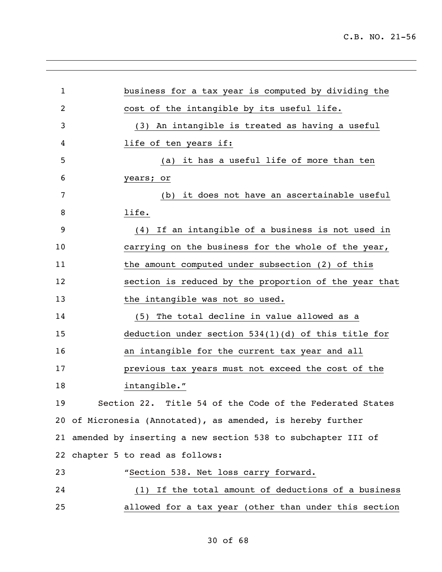| 1              | business for a tax year is computed by dividing the            |
|----------------|----------------------------------------------------------------|
| $\overline{2}$ | cost of the intangible by its useful life.                     |
| 3              | (3) An intangible is treated as having a useful                |
| 4              | life of ten years if:                                          |
| 5              | (a) it has a useful life of more than ten                      |
| 6              | years; or                                                      |
| 7              | (b) it does not have an ascertainable useful                   |
| 8              | life.                                                          |
| 9              | (4) If an intangible of a business is not used in              |
| 10             | carrying on the business for the whole of the year,            |
| 11             | the amount computed under subsection (2) of this               |
| 12             | section is reduced by the proportion of the year that          |
| 13             | the intangible was not so used.                                |
| 14             | (5) The total decline in value allowed as a                    |
| 15             | deduction under section $534(1)(d)$ of this title for          |
| 16             | an intangible for the current tax year and all                 |
| 17             | previous tax years must not exceed the cost of the             |
| 18             | intangible."                                                   |
| 19             | Section 22. Title 54 of the Code of the Federated States       |
|                | 20 of Micronesia (Annotated), as amended, is hereby further    |
|                | 21 amended by inserting a new section 538 to subchapter III of |
|                | 22 chapter 5 to read as follows:                               |
| 23             | "Section 538. Net loss carry forward.                          |
| 24             | (1) If the total amount of deductions of a business            |
| 25             | allowed for a tax year (other than under this section          |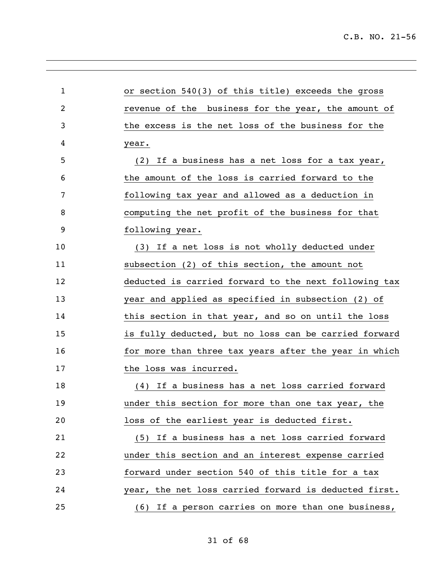| 1  | or section 540(3) of this title) exceeds the gross    |
|----|-------------------------------------------------------|
| 2  | revenue of the business for the year, the amount of   |
| 3  | the excess is the net loss of the business for the    |
| 4  | year.                                                 |
| 5  | (2) If a business has a net loss for a tax year,      |
| 6  | the amount of the loss is carried forward to the      |
| 7  | following tax year and allowed as a deduction in      |
| 8  | computing the net profit of the business for that     |
| 9  | following year.                                       |
| 10 | (3) If a net loss is not wholly deducted under        |
| 11 | subsection (2) of this section, the amount not        |
| 12 | deducted is carried forward to the next following tax |
| 13 | year and applied as specified in subsection (2) of    |
| 14 | this section in that year, and so on until the loss   |
| 15 | is fully deducted, but no loss can be carried forward |
| 16 | for more than three tax years after the year in which |
| 17 | the loss was incurred.                                |
| 18 | (4) If a business has a net loss carried forward      |
| 19 | under this section for more than one tax year, the    |
| 20 | loss of the earliest year is deducted first.          |
| 21 | (5) If a business has a net loss carried forward      |
| 22 | under this section and an interest expense carried    |
| 23 | forward under section 540 of this title for a tax     |
| 24 | year, the net loss carried forward is deducted first. |
| 25 | (6) If a person carries on more than one business,    |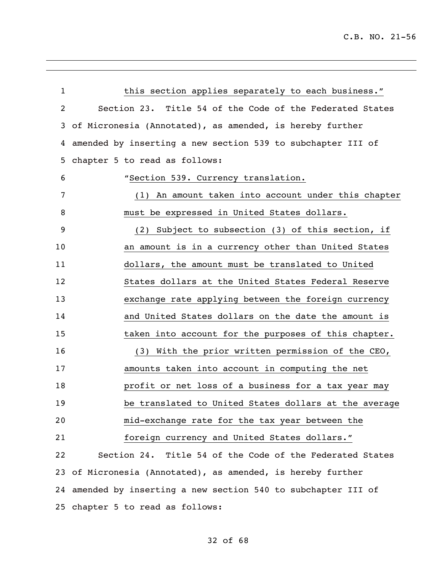| $\mathbf 1$ | this section applies separately to each business."             |
|-------------|----------------------------------------------------------------|
| 2           | Section 23. Title 54 of the Code of the Federated States       |
| 3           | of Micronesia (Annotated), as amended, is hereby further       |
| 4           | amended by inserting a new section 539 to subchapter III of    |
| 5           | chapter 5 to read as follows:                                  |
| 6           | "Section 539. Currency translation.                            |
| 7           | An amount taken into account under this chapter<br>(1)         |
| 8           | must be expressed in United States dollars.                    |
| 9           | (2) Subject to subsection (3) of this section, if              |
| 10          | an amount is in a currency other than United States            |
| 11          | dollars, the amount must be translated to United               |
| 12          | States dollars at the United States Federal Reserve            |
| 13          | exchange rate applying between the foreign currency            |
| 14          | and United States dollars on the date the amount is            |
| 15          | taken into account for the purposes of this chapter.           |
| 16          | (3) With the prior written permission of the CEO,              |
| 17          | amounts taken into account in computing the net                |
| 18          | profit or net loss of a business for a tax year may            |
| 19          | be translated to United States dollars at the average          |
| 20          | mid-exchange rate for the tax year between the                 |
| 21          | foreign currency and United States dollars."                   |
| 22          | Section 24. Title 54 of the Code of the Federated States       |
|             | 23 of Micronesia (Annotated), as amended, is hereby further    |
|             | 24 amended by inserting a new section 540 to subchapter III of |
|             | 25 chapter 5 to read as follows:                               |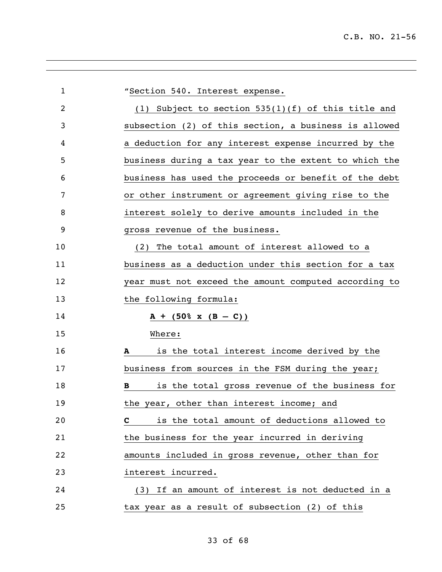| $\mathbf 1$ | "Section 540. Interest expense.                                                                                                                                                                                                                                                                                                                  |
|-------------|--------------------------------------------------------------------------------------------------------------------------------------------------------------------------------------------------------------------------------------------------------------------------------------------------------------------------------------------------|
| 2           | (1) Subject to section $535(1)(f)$ of this title and                                                                                                                                                                                                                                                                                             |
| 3           | subsection (2) of this section, a business is allowed                                                                                                                                                                                                                                                                                            |
| 4           | a deduction for any interest expense incurred by the                                                                                                                                                                                                                                                                                             |
| 5           | business during a tax year to the extent to which the                                                                                                                                                                                                                                                                                            |
| 6           | business has used the proceeds or benefit of the debt                                                                                                                                                                                                                                                                                            |
| 7           | or other instrument or agreement giving rise to the                                                                                                                                                                                                                                                                                              |
| 8           | interest solely to derive amounts included in the                                                                                                                                                                                                                                                                                                |
| 9           | gross revenue of the business.                                                                                                                                                                                                                                                                                                                   |
| 10          | The total amount of interest allowed to a<br>(2)                                                                                                                                                                                                                                                                                                 |
| 11          | business as a deduction under this section for a tax                                                                                                                                                                                                                                                                                             |
| 12          | year must not exceed the amount computed according to                                                                                                                                                                                                                                                                                            |
| 13          | the following formula:                                                                                                                                                                                                                                                                                                                           |
| 14          | $A + (50\% \times (B - C))$                                                                                                                                                                                                                                                                                                                      |
| 15          | Where:                                                                                                                                                                                                                                                                                                                                           |
| 16          | is the total interest income derived by the<br>A                                                                                                                                                                                                                                                                                                 |
| 17          | business from sources in the FSM during the year;                                                                                                                                                                                                                                                                                                |
| 18          | is the total gross revenue of the business for<br>B                                                                                                                                                                                                                                                                                              |
| 19          | the year, other than interest income; and                                                                                                                                                                                                                                                                                                        |
| 20          | is the total amount of deductions allowed to<br>$\mathbf{C}$ and $\mathbf{C}$ and $\mathbf{C}$ and $\mathbf{C}$ and $\mathbf{C}$ and $\mathbf{C}$ and $\mathbf{C}$ and $\mathbf{C}$ and $\mathbf{C}$ and $\mathbf{C}$ and $\mathbf{C}$ and $\mathbf{C}$ and $\mathbf{C}$ and $\mathbf{C}$ and $\mathbf{C}$ and $\mathbf{C}$ and $\mathbf{C}$ and |
| 21          | the business for the year incurred in deriving                                                                                                                                                                                                                                                                                                   |
| 22          | amounts included in gross revenue, other than for                                                                                                                                                                                                                                                                                                |
| 23          | interest incurred.                                                                                                                                                                                                                                                                                                                               |
| 24          | (3) If an amount of interest is not deducted in a                                                                                                                                                                                                                                                                                                |
| 25          | tax year as a result of subsection (2) of this                                                                                                                                                                                                                                                                                                   |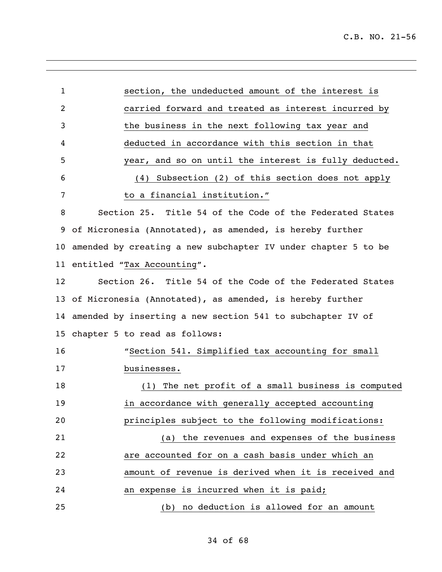| $\mathbf{1}$    | section, the undeducted amount of the interest is             |
|-----------------|---------------------------------------------------------------|
| $\overline{2}$  | carried forward and treated as interest incurred by           |
| 3               | the business in the next following tax year and               |
|                 |                                                               |
| 4               | deducted in accordance with this section in that              |
| 5               | year, and so on until the interest is fully deducted.         |
| 6               | (4) Subsection (2) of this section does not apply             |
| 7               | to a financial institution."                                  |
| 8               | Section 25. Title 54 of the Code of the Federated States      |
| 9               | of Micronesia (Annotated), as amended, is hereby further      |
| 10              | amended by creating a new subchapter IV under chapter 5 to be |
| 11              | entitled "Tax Accounting".                                    |
| 12              | Section 26. Title 54 of the Code of the Federated States      |
| 13              | of Micronesia (Annotated), as amended, is hereby further      |
| 14              | amended by inserting a new section 541 to subchapter IV of    |
| 15 <sub>1</sub> | chapter 5 to read as follows:                                 |
| 16              | "Section 541. Simplified tax accounting for small             |
| 17              | businesses.                                                   |
| 18              | (1) The net profit of a small business is computed            |
| 19              | in accordance with generally accepted accounting              |
| 20              | principles subject to the following modifications:            |
| 21              | (a) the revenues and expenses of the business                 |
| 22              | are accounted for on a cash basis under which an              |
| 23              | amount of revenue is derived when it is received and          |
| 24              | an expense is incurred when it is paid;                       |
| 25              | (b) no deduction is allowed for an amount                     |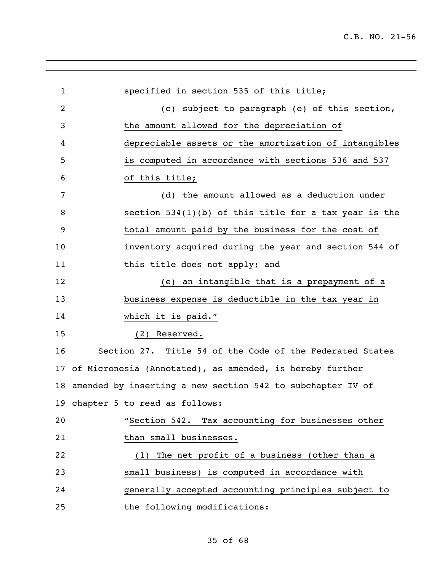| $\mathbf{1}$ | specified in section 535 of this title;                       |
|--------------|---------------------------------------------------------------|
| 2            | (c) subject to paragraph (e) of this section,                 |
| 3            | the amount allowed for the depreciation of                    |
| 4            | depreciable assets or the amortization of intangibles         |
| 5            | is computed in accordance with sections 536 and 537           |
| 6            | of this title;                                                |
| 7            | (d) the amount allowed as a deduction under                   |
| 8            | section $534(1)(b)$ of this title for a tax year is the       |
| 9            | total amount paid by the business for the cost of             |
| 10           | inventory acquired during the year and section 544 of         |
| 11           | this title does not apply; and                                |
| 12           | (e) an intangible that is a prepayment of a                   |
| 13           | business expense is deductible in the tax year in             |
| 14           | which it is paid."                                            |
| 15           | (2) Reserved.                                                 |
| 16           | Section 27. Title 54 of the Code of the Federated States      |
| 17           | of Micronesia (Annotated), as amended, is hereby further      |
|              | 18 amended by inserting a new section 542 to subchapter IV of |
|              | 19 chapter 5 to read as follows:                              |
| 20           | "Section 542. Tax accounting for businesses other             |
| 21           | than small businesses.                                        |
| 22           | The net profit of a business (other than a<br>(1)             |
| 23           | small business) is computed in accordance with                |
| 24           | generally accepted accounting principles subject to           |
| 25           | the following modifications:                                  |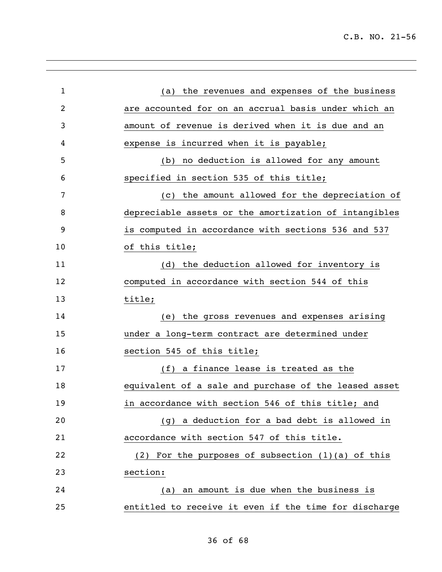| $\mathbf{1}$ | the revenues and expenses of the business<br>(a)      |
|--------------|-------------------------------------------------------|
| 2            | are accounted for on an accrual basis under which an  |
| 3            | amount of revenue is derived when it is due and an    |
| 4            | expense is incurred when it is payable;               |
| 5            | no deduction is allowed for any amount<br>(b)         |
| 6            | specified in section 535 of this title;               |
| 7            | the amount allowed for the depreciation of<br>(C)     |
| 8            | depreciable assets or the amortization of intangibles |
| 9            | is computed in accordance with sections 536 and 537   |
| 10           | of this title;                                        |
| 11           | the deduction allowed for inventory is<br>(d)         |
| 12           | computed in accordance with section 544 of this       |
| 13           | title;                                                |
| 14           | the gross revenues and expenses arising<br>(e)        |
| 15           | under a long-term contract are determined under       |
| 16           | section 545 of this title;                            |
| 17           | a finance lease is treated as the<br>(f)              |
| 18           | equivalent of a sale and purchase of the leased asset |
| 19           | in accordance with section 546 of this title; and     |
| 20           | (g) a deduction for a bad debt is allowed in          |
| 21           | accordance with section 547 of this title.            |
| 22           | (2) For the purposes of subsection $(1)(a)$ of this   |
| 23           | section:                                              |
| 24           | an amount is due when the business is<br>(a)          |
| 25           | entitled to receive it even if the time for discharge |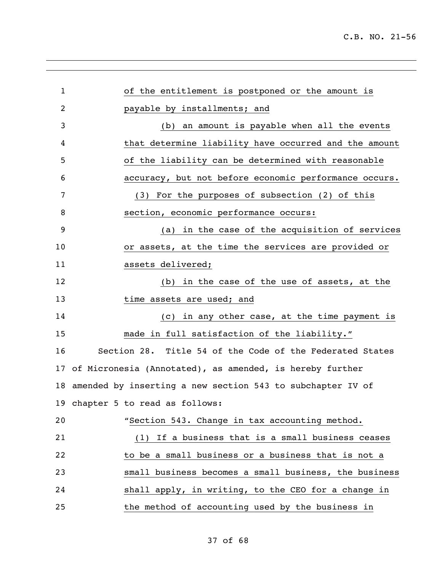| 1  | of the entitlement is postponed or the amount is              |
|----|---------------------------------------------------------------|
| 2  | payable by installments; and                                  |
| 3  | (b) an amount is payable when all the events                  |
| 4  | that determine liability have occurred and the amount         |
| 5  | of the liability can be determined with reasonable            |
| 6  | accuracy, but not before economic performance occurs.         |
| 7  | (3) For the purposes of subsection (2) of this                |
| 8  | section, economic performance occurs:                         |
| 9  | (a) in the case of the acquisition of services                |
| 10 | or assets, at the time the services are provided or           |
| 11 | assets delivered;                                             |
| 12 | (b) in the case of the use of assets, at the                  |
| 13 | time assets are used; and                                     |
| 14 | (c) in any other case, at the time payment is                 |
| 15 | made in full satisfaction of the liability."                  |
| 16 | Section 28. Title 54 of the Code of the Federated States      |
| 17 | of Micronesia (Annotated), as amended, is hereby further      |
|    | 18 amended by inserting a new section 543 to subchapter IV of |
|    | 19 chapter 5 to read as follows:                              |
| 20 | "Section 543. Change in tax accounting method.                |
| 21 | If a business that is a small business ceases<br>(1)          |
| 22 | to be a small business or a business that is not a            |
| 23 | small business becomes a small business, the business         |
| 24 | shall apply, in writing, to the CEO for a change in           |
| 25 | the method of accounting used by the business in              |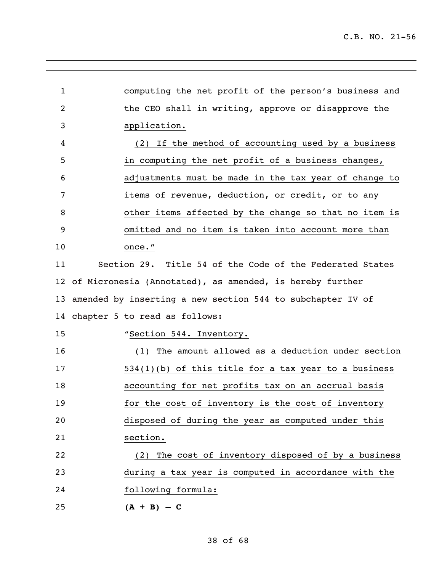| $\mathbf{1}$ | computing the net profit of the person's business and         |
|--------------|---------------------------------------------------------------|
| 2            | the CEO shall in writing, approve or disapprove the           |
| 3            | application.                                                  |
| 4            | (2) If the method of accounting used by a business            |
| 5            | in computing the net profit of a business changes,            |
| 6            | adjustments must be made in the tax year of change to         |
| 7            | items of revenue, deduction, or credit, or to any             |
| 8            | other items affected by the change so that no item is         |
| 9            | omitted and no item is taken into account more than           |
| 10           | once."                                                        |
| 11           | Section 29. Title 54 of the Code of the Federated States      |
|              | 12 of Micronesia (Annotated), as amended, is hereby further   |
|              | 13 amended by inserting a new section 544 to subchapter IV of |
|              | 14 chapter 5 to read as follows:                              |
| 15           | "Section 544. Inventory.                                      |
| 16           | The amount allowed as a deduction under section<br>(1)        |
| 17           | $534(1)(b)$ of this title for a tax year to a business        |
| 18           | accounting for net profits tax on an accrual basis            |
| 19           | for the cost of inventory is the cost of inventory            |
| 20           | disposed of during the year as computed under this            |
| 21           | section.                                                      |
| 22           | (2) The cost of inventory disposed of by a business           |
| 23           | during a tax year is computed in accordance with the          |
| 24           | following formula:                                            |
| 25           | $(A + B) - C$                                                 |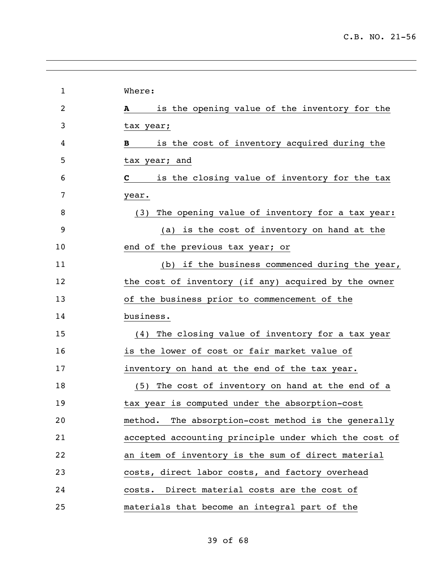| $\mathbf{1}$ | Where:                                                        |
|--------------|---------------------------------------------------------------|
| 2            | is the opening value of the inventory for the<br>$\mathbf{A}$ |
| 3            | tax year;                                                     |
| 4            | is the cost of inventory acquired during the<br>B             |
| 5            | tax year; and                                                 |
| 6            | is the closing value of inventory for the tax<br>$\mathbf C$  |
| 7            | year.                                                         |
| 8            | The opening value of inventory for a tax year:<br>(3)         |
| 9            | (a) is the cost of inventory on hand at the                   |
| 10           | end of the previous tax year; or                              |
| 11           | (b) if the business commenced during the year,                |
| 12           | the cost of inventory (if any) acquired by the owner          |
| 13           | of the business prior to commencement of the                  |
| 14           | business.                                                     |
| 15           | (4) The closing value of inventory for a tax year             |
| 16           | is the lower of cost or fair market value of                  |
| 17           | inventory on hand at the end of the tax year.                 |
| 18           | (5) The cost of inventory on hand at the end of a             |
| 19           | tax year is computed under the absorption-cost                |
| 20           | The absorption-cost method is the generally<br>method.        |
| 21           | accepted accounting principle under which the cost of         |
| 22           | an item of inventory is the sum of direct material            |
| 23           | costs, direct labor costs, and factory overhead               |
| 24           | costs. Direct material costs are the cost of                  |
| 25           | materials that become an integral part of the                 |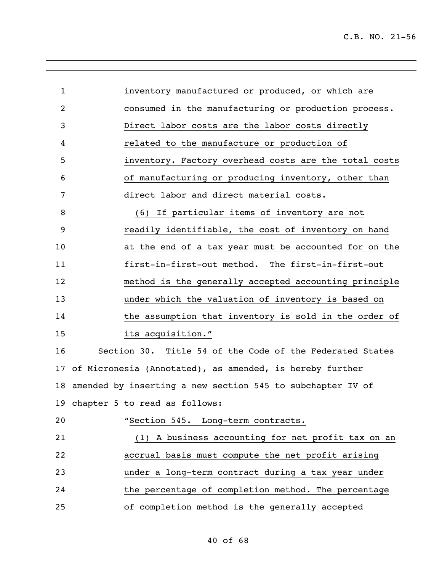| $\mathbf{1}$ | inventory manufactured or produced, or which are              |
|--------------|---------------------------------------------------------------|
| 2            | consumed in the manufacturing or production process.          |
| 3            | Direct labor costs are the labor costs directly               |
| 4            | related to the manufacture or production of                   |
| 5            | inventory. Factory overhead costs are the total costs         |
| 6            | of manufacturing or producing inventory, other than           |
| 7            | direct labor and direct material costs.                       |
| 8            | (6) If particular items of inventory are not                  |
| 9            | readily identifiable, the cost of inventory on hand           |
| 10           | at the end of a tax year must be accounted for on the         |
| 11           | first-in-first-out method. The first-in-first-out             |
| 12           | method is the generally accepted accounting principle         |
| 13           | under which the valuation of inventory is based on            |
| 14           | the assumption that inventory is sold in the order of         |
| 15           | its acquisition."                                             |
| 16           | Section 30. Title 54 of the Code of the Federated States      |
|              | 17 of Micronesia (Annotated), as amended, is hereby further   |
|              | 18 amended by inserting a new section 545 to subchapter IV of |
|              | 19 chapter 5 to read as follows:                              |
| 20           | "Section 545. Long-term contracts.                            |
| 21           | (1) A business accounting for net profit tax on an            |
| 22           | accrual basis must compute the net profit arising             |
| 23           | under a long-term contract during a tax year under            |
| 24           | the percentage of completion method. The percentage           |
| 25           | of completion method is the generally accepted                |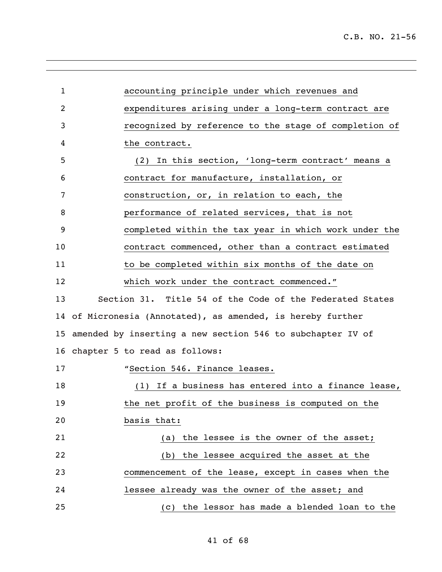| $\mathbf{1}$ | accounting principle under which revenues and               |
|--------------|-------------------------------------------------------------|
| 2            | expenditures arising under a long-term contract are         |
| 3            | recognized by reference to the stage of completion of       |
| 4            | the contract.                                               |
| 5            | (2) In this section, 'long-term contract' means a           |
| 6            | contract for manufacture, installation, or                  |
| 7            | construction, or, in relation to each, the                  |
| 8            | performance of related services, that is not                |
| 9            | completed within the tax year in which work under the       |
| 10           | contract commenced, other than a contract estimated         |
| 11           | to be completed within six months of the date on            |
| 12           | which work under the contract commenced."                   |
| 13           | Section 31. Title 54 of the Code of the Federated States    |
|              | 14 of Micronesia (Annotated), as amended, is hereby further |
| 15           | amended by inserting a new section 546 to subchapter IV of  |
|              | 16 chapter 5 to read as follows:                            |
| 17           | "Section 546. Finance leases.                               |
| 18           | If a business has entered into a finance lease,<br>(1)      |
| 19           | the net profit of the business is computed on the           |
| 20           | basis that:                                                 |
| 21           | (a) the lessee is the owner of the asset;                   |
| 22           | (b) the lessee acquired the asset at the                    |
| 23           | commencement of the lease, except in cases when the         |
| 24           | lessee already was the owner of the asset; and              |
| 25           | (c) the lessor has made a blended loan to the               |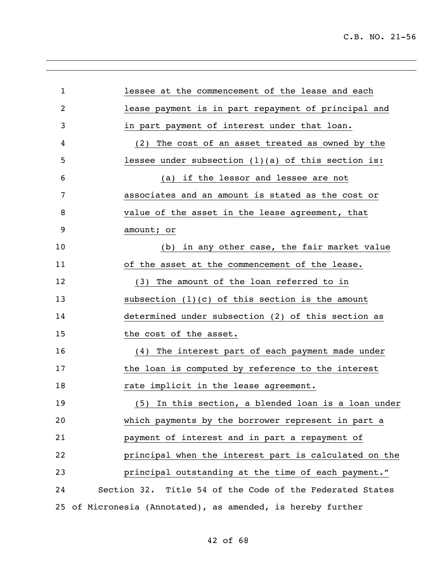| 1              | lessee at the commencement of the lease and each            |
|----------------|-------------------------------------------------------------|
| $\overline{2}$ | lease payment is in part repayment of principal and         |
| 3              | in part payment of interest under that loan.                |
| 4              | (2) The cost of an asset treated as owned by the            |
| 5              | lessee under subsection $(1)(a)$ of this section is:        |
| 6              | (a) if the lessor and lessee are not                        |
| 7              | associates and an amount is stated as the cost or           |
| 8              | value of the asset in the lease agreement, that             |
| 9              | amount; or                                                  |
| 10             | in any other case, the fair market value<br>(b)             |
| 11             | of the asset at the commencement of the lease.              |
| 12             | (3) The amount of the loan referred to in                   |
| 13             | subsection $(1)(c)$ of this section is the amount           |
| 14             | determined under subsection (2) of this section as          |
| 15             | the cost of the asset.                                      |
| 16             | (4) The interest part of each payment made under            |
| 17             | the loan is computed by reference to the interest           |
| 18             | rate implicit in the lease agreement.                       |
| 19             | (5) In this section, a blended loan is a loan under         |
| 20             | which payments by the borrower represent in part a          |
| 21             | payment of interest and in part a repayment of              |
| 22             | principal when the interest part is calculated on the       |
| 23             | principal outstanding at the time of each payment."         |
| 24             | Section 32. Title 54 of the Code of the Federated States    |
|                | 25 of Micronesia (Annotated), as amended, is hereby further |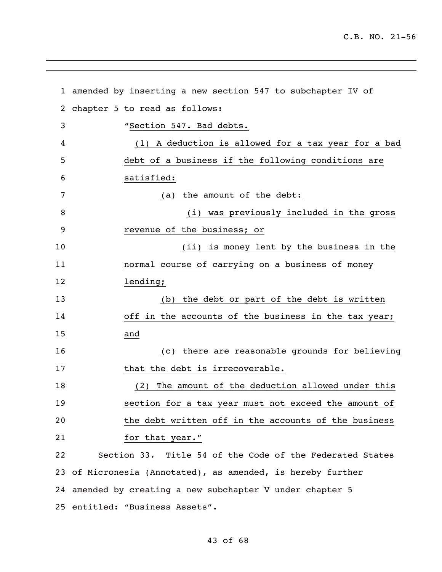|    | 1 amended by inserting a new section 547 to subchapter IV of |
|----|--------------------------------------------------------------|
| 2  | chapter 5 to read as follows:                                |
| 3  | "Section 547. Bad debts.                                     |
| 4  | (1) A deduction is allowed for a tax year for a bad          |
| 5  | debt of a business if the following conditions are           |
| 6  | satisfied:                                                   |
| 7  | the amount of the debt:<br>(a)                               |
| 8  | (i) was previously included in the gross                     |
| 9  | revenue of the business; or                                  |
| 10 | (ii) is money lent by the business in the                    |
| 11 | normal course of carrying on a business of money             |
| 12 | lending;                                                     |
| 13 | (b) the debt or part of the debt is written                  |
| 14 | off in the accounts of the business in the tax year;         |
| 15 | and                                                          |
| 16 | (c) there are reasonable grounds for believing               |
| 17 | that the debt is irrecoverable.                              |
| 18 | The amount of the deduction allowed under this<br>(2)        |
| 19 | section for a tax year must not exceed the amount of         |
| 20 | the debt written off in the accounts of the business         |
| 21 | for that year."                                              |
| 22 | Section 33. Title 54 of the Code of the Federated States     |
| 23 | of Micronesia (Annotated), as amended, is hereby further     |
| 24 | amended by creating a new subchapter V under chapter 5       |
|    | 25 entitled: "Business Assets".                              |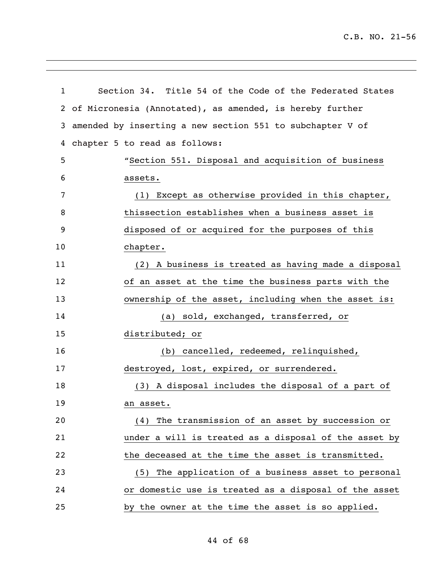| $\mathbf{1}$   | Section 34. Title 54 of the Code of the Federated States  |
|----------------|-----------------------------------------------------------|
| $\overline{2}$ | of Micronesia (Annotated), as amended, is hereby further  |
| 3              | amended by inserting a new section 551 to subchapter V of |
| 4              | chapter 5 to read as follows:                             |
| 5              | "Section 551. Disposal and acquisition of business        |
| 6              | assets.                                                   |
| 7              | (1) Except as otherwise provided in this chapter,         |
| 8              | thissection establishes when a business asset is          |
| 9              | disposed of or acquired for the purposes of this          |
| 10             | chapter.                                                  |
| 11             | (2) A business is treated as having made a disposal       |
| 12             | of an asset at the time the business parts with the       |
| 13             | ownership of the asset, including when the asset is:      |
| 14             | (a) sold, exchanged, transferred, or                      |
| 15             | distributed; or                                           |
| 16             | (b) cancelled, redeemed, relinquished,                    |
| 17             | destroyed, lost, expired, or surrendered.                 |
| 18             | (3) A disposal includes the disposal of a part of         |
| 19             | an asset.                                                 |
| 20             | (4) The transmission of an asset by succession or         |
| 21             | under a will is treated as a disposal of the asset by     |
| 22             | the deceased at the time the asset is transmitted.        |
| 23             | (5) The application of a business asset to personal       |
| 24             | or domestic use is treated as a disposal of the asset     |
| 25             | by the owner at the time the asset is so applied.         |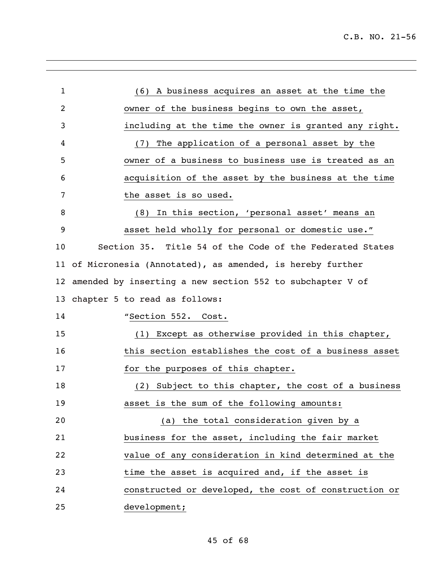| $\mathbf{1}$ | (6) A business acquires an asset at the time the          |
|--------------|-----------------------------------------------------------|
| 2            | owner of the business begins to own the asset,            |
| 3            | including at the time the owner is granted any right.     |
| 4            | The application of a personal asset by the<br>(7)         |
| 5            | owner of a business to business use is treated as an      |
| 6            | acquisition of the asset by the business at the time      |
| 7            | the asset is so used.                                     |
| 8            | (8) In this section, 'personal asset' means an            |
| 9            | asset held wholly for personal or domestic use."          |
| 10           | Section 35. Title 54 of the Code of the Federated States  |
| 11           | of Micronesia (Annotated), as amended, is hereby further  |
| 12           | amended by inserting a new section 552 to subchapter V of |
| 13           | chapter 5 to read as follows:                             |
| 14           | "Section 552. Cost.                                       |
| 15           | (1) Except as otherwise provided in this chapter,         |
| 16           | this section establishes the cost of a business asset     |
| 17           | for the purposes of this chapter.                         |
| 18           | (2) Subject to this chapter, the cost of a business       |
| 19           | asset is the sum of the following amounts:                |
| 20           | (a) the total consideration given by a                    |
| 21           | business for the asset, including the fair market         |
| 22           | value of any consideration in kind determined at the      |
| 23           | time the asset is acquired and, if the asset is           |
| 24           | constructed or developed, the cost of construction or     |
| 25           | development;                                              |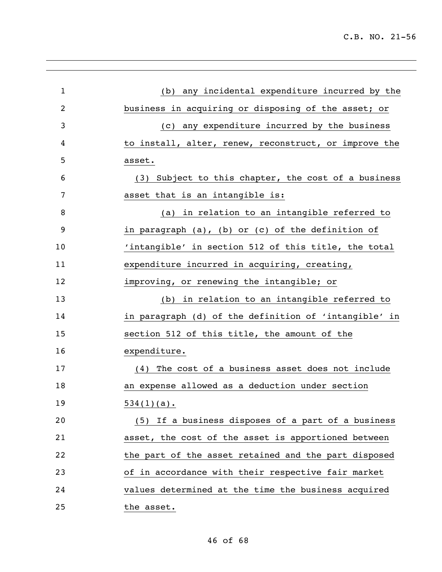| $\mathbf{1}$   | (b) any incidental expenditure incurred by the        |
|----------------|-------------------------------------------------------|
| $\overline{2}$ | business in acquiring or disposing of the asset; or   |
| 3              | any expenditure incurred by the business<br>(C)       |
| 4              | to install, alter, renew, reconstruct, or improve the |
| 5              | asset.                                                |
| 6              | (3) Subject to this chapter, the cost of a business   |
| 7              | asset that is an intangible is:                       |
| 8              | (a) in relation to an intangible referred to          |
| 9              | in paragraph (a), (b) or (c) of the definition of     |
| 10             | 'intangible' in section 512 of this title, the total  |
| 11             | expenditure incurred in acquiring, creating,          |
| 12             | improving, or renewing the intangible; or             |
| 13             | (b) in relation to an intangible referred to          |
| 14             | in paragraph (d) of the definition of 'intangible' in |
| 15             | section 512 of this title, the amount of the          |
| 16             | expenditure.                                          |
| 17             | (4) The cost of a business asset does not include     |
| 18             | an expense allowed as a deduction under section       |
| 19             | $534(1)(a)$ .                                         |
| 20             | (5) If a business disposes of a part of a business    |
| 21             | asset, the cost of the asset is apportioned between   |
| 22             | the part of the asset retained and the part disposed  |
| 23             | of in accordance with their respective fair market    |
| 24             | values determined at the time the business acquired   |
| 25             | the asset.                                            |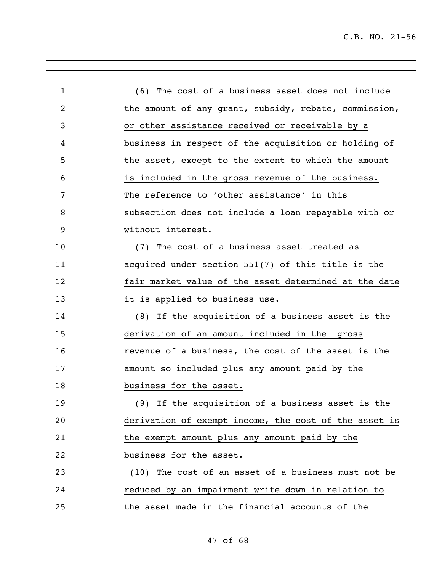| $\mathbf{1}$   | (6) The cost of a business asset does not include     |
|----------------|-------------------------------------------------------|
| $\overline{2}$ | the amount of any grant, subsidy, rebate, commission, |
| 3              | or other assistance received or receivable by a       |
| 4              | business in respect of the acquisition or holding of  |
| 5              | the asset, except to the extent to which the amount   |
| 6              | is included in the gross revenue of the business.     |
| 7              | The reference to 'other assistance' in this           |
| 8              | subsection does not include a loan repayable with or  |
| 9              | without interest.                                     |
| 10             | (7) The cost of a business asset treated as           |
| 11             | acquired under section 551(7) of this title is the    |
| 12             | fair market value of the asset determined at the date |
| 13             | it is applied to business use.                        |
| 14             | (8) If the acquisition of a business asset is the     |
| 15             | derivation of an amount included in the gross         |
| 16             | revenue of a business, the cost of the asset is the   |
| 17             | amount so included plus any amount paid by the        |
| 18             | business for the asset.                               |
| 19             | (9) If the acquisition of a business asset is the     |
| 20             | derivation of exempt income, the cost of the asset is |
| 21             | the exempt amount plus any amount paid by the         |
| 22             | business for the asset.                               |
| 23             | (10) The cost of an asset of a business must not be   |
| 24             | reduced by an impairment write down in relation to    |
| 25             | the asset made in the financial accounts of the       |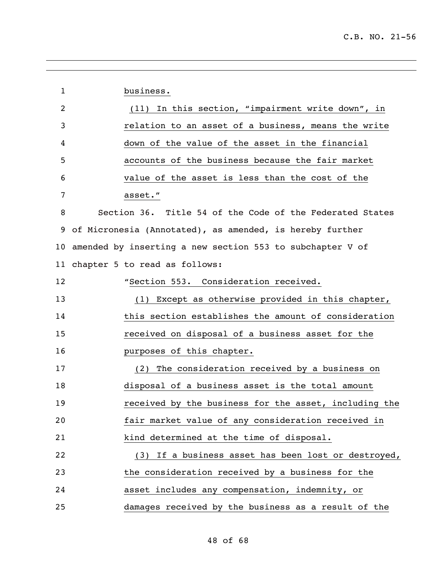| $\mathbf{1}$   | business.                                                 |
|----------------|-----------------------------------------------------------|
| $\overline{2}$ | (11) In this section, "impairment write down", in         |
| 3              | relation to an asset of a business, means the write       |
| 4              | down of the value of the asset in the financial           |
| 5              | accounts of the business because the fair market          |
| 6              | value of the asset is less than the cost of the           |
| 7              | asset."                                                   |
| 8              | Section 36. Title 54 of the Code of the Federated States  |
| 9              | of Micronesia (Annotated), as amended, is hereby further  |
| 10             | amended by inserting a new section 553 to subchapter V of |
| 11             | chapter 5 to read as follows:                             |
| 12             | "Section 553. Consideration received.                     |
| 13             | (1) Except as otherwise provided in this chapter,         |
| 14             | this section establishes the amount of consideration      |
| 15             | received on disposal of a business asset for the          |
| 16             | purposes of this chapter.                                 |
| 17             | The consideration received by a business on<br>(2)        |
| 18             | disposal of a business asset is the total amount          |
| 19             | received by the business for the asset, including the     |
| 20             | fair market value of any consideration received in        |
| 21             | kind determined at the time of disposal.                  |
| 22             | (3) If a business asset has been lost or destroyed,       |
| 23             | the consideration received by a business for the          |
| 24             | asset includes any compensation, indemnity, or            |
| 25             | damages received by the business as a result of the       |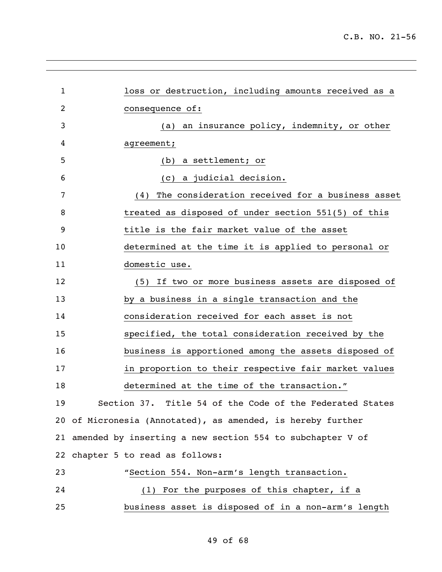| $\mathbf{1}$   | loss or destruction, including amounts received as a         |  |
|----------------|--------------------------------------------------------------|--|
|                |                                                              |  |
| $\overline{2}$ | consequence of:                                              |  |
| 3              | an insurance policy, indemnity, or other<br>(a)              |  |
| 4              | agreement;                                                   |  |
| 5              | (b) a settlement; or                                         |  |
| 6              | (c) a judicial decision.                                     |  |
| 7              | The consideration received for a business asset<br>(4)       |  |
| 8              | treated as disposed of under section 551(5) of this          |  |
| 9              | title is the fair market value of the asset                  |  |
| 10             | determined at the time it is applied to personal or          |  |
| 11             | domestic use.                                                |  |
| 12             | (5) If two or more business assets are disposed of           |  |
| 13             | by a business in a single transaction and the                |  |
| 14             | consideration received for each asset is not                 |  |
| 15             | specified, the total consideration received by the           |  |
| 16             | business is apportioned among the assets disposed of         |  |
| 17             | in proportion to their respective fair market values         |  |
| 18             | determined at the time of the transaction."                  |  |
| 19             | Section 37. Title 54 of the Code of the Federated States     |  |
|                | 20 of Micronesia (Annotated), as amended, is hereby further  |  |
|                | 21 amended by inserting a new section 554 to subchapter V of |  |
|                | 22 chapter 5 to read as follows:                             |  |
| 23             | "Section 554. Non-arm's length transaction.                  |  |
| 24             | (1) For the purposes of this chapter, if a                   |  |
| 25             | business asset is disposed of in a non-arm's length          |  |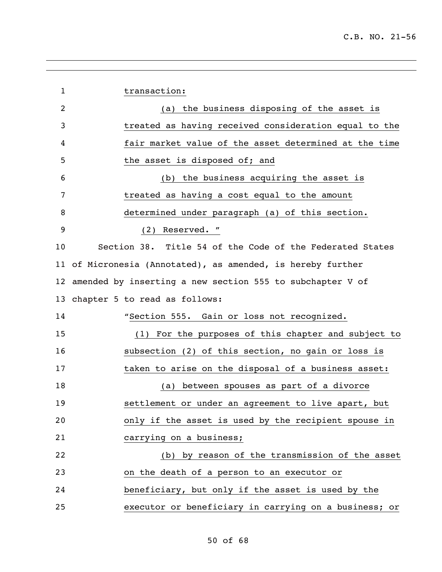| $\mathbf{1}$    | transaction:                                                |
|-----------------|-------------------------------------------------------------|
| $\overline{2}$  | (a) the business disposing of the asset is                  |
| 3               | treated as having received consideration equal to the       |
| 4               | fair market value of the asset determined at the time       |
| 5               | the asset is disposed of; and                               |
| 6               | the business acquiring the asset is<br>(b)                  |
| 7               | treated as having a cost equal to the amount                |
| 8               | determined under paragraph (a) of this section.             |
| 9               | Reserved. "<br>(2)                                          |
| 10              | Section 38. Title 54 of the Code of the Federated States    |
|                 | 11 of Micronesia (Annotated), as amended, is hereby further |
| 12 <sub>2</sub> | amended by inserting a new section 555 to subchapter V of   |
| 13              | chapter 5 to read as follows:                               |
| 14              | "Section 555. Gain or loss not recognized.                  |
| 15              | (1) For the purposes of this chapter and subject to         |
| 16              | subsection (2) of this section, no gain or loss is          |
| 17              | taken to arise on the disposal of a business asset:         |
| 18              | between spouses as part of a divorce<br>(a)                 |
| 19              | settlement or under an agreement to live apart, but         |
| 20              | only if the asset is used by the recipient spouse in        |
| 21              | carrying on a business;                                     |
| 22              | (b) by reason of the transmission of the asset              |
| 23              | on the death of a person to an executor or                  |
| 24              | beneficiary, but only if the asset is used by the           |
| 25              | executor or beneficiary in carrying on a business; or       |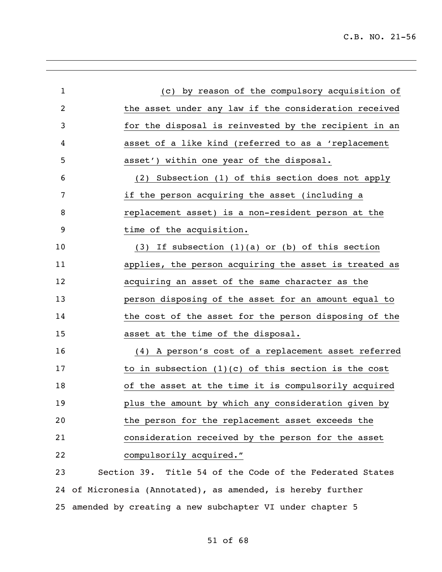| $\mathbf{1}$   | by reason of the compulsory acquisition of<br>(C)           |
|----------------|-------------------------------------------------------------|
| $\overline{2}$ | the asset under any law if the consideration received       |
| 3              | for the disposal is reinvested by the recipient in an       |
| 4              | asset of a like kind (referred to as a 'replacement         |
| 5              | asset') within one year of the disposal.                    |
| 6              | (2) Subsection (1) of this section does not apply           |
| 7              | if the person acquiring the asset (including a              |
| 8              | replacement asset) is a non-resident person at the          |
| 9              | time of the acquisition.                                    |
| 10             | $(3)$ If subsection $(1)(a)$ or $(b)$ of this section       |
| 11             | applies, the person acquiring the asset is treated as       |
| 12             | acquiring an asset of the same character as the             |
| 13             | person disposing of the asset for an amount equal to        |
| 14             | the cost of the asset for the person disposing of the       |
| 15             | asset at the time of the disposal.                          |
| 16             | (4) A person's cost of a replacement asset referred         |
| 17             | to in subsection $(1)(c)$ of this section is the cost       |
| 18             | of the asset at the time it is compulsorily acquired        |
| 19             | plus the amount by which any consideration given by         |
| 20             | the person for the replacement asset exceeds the            |
| 21             | consideration received by the person for the asset          |
| 22             | compulsorily acquired."                                     |
| 23             | Section 39. Title 54 of the Code of the Federated States    |
|                | 24 of Micronesia (Annotated), as amended, is hereby further |

amended by creating a new subchapter VI under chapter 5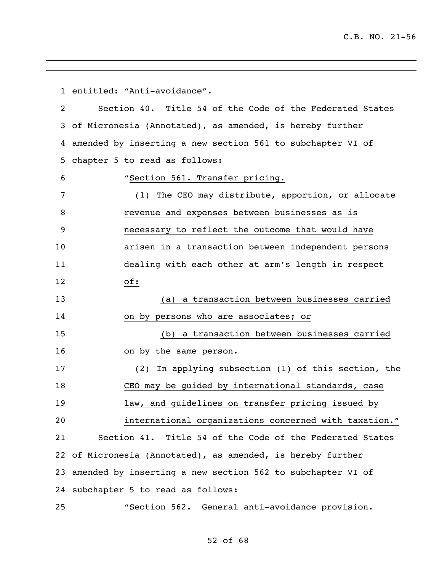entitled: "Anti-avoidance". Section 40. Title 54 of the Code of the Federated States of Micronesia (Annotated), as amended, is hereby further amended by inserting a new section 561 to subchapter VI of chapter 5 to read as follows: "Section 561. Transfer pricing. (1) The CEO may distribute, apportion, or allocate revenue and expenses between businesses as is necessary to reflect the outcome that would have arisen in a transaction between independent persons dealing with each other at arm's length in respect of: (a) a transaction between businesses carried on by persons who are associates; or (b) a transaction between businesses carried on by the same person. (2) In applying subsection (1) of this section, the CEO may be guided by international standards, case law, and guidelines on transfer pricing issued by international organizations concerned with taxation." Section 41. Title 54 of the Code of the Federated States of Micronesia (Annotated), as amended, is hereby further amended by inserting a new section 562 to subchapter VI of subchapter 5 to read as follows: "Section 562. General anti-avoidance provision.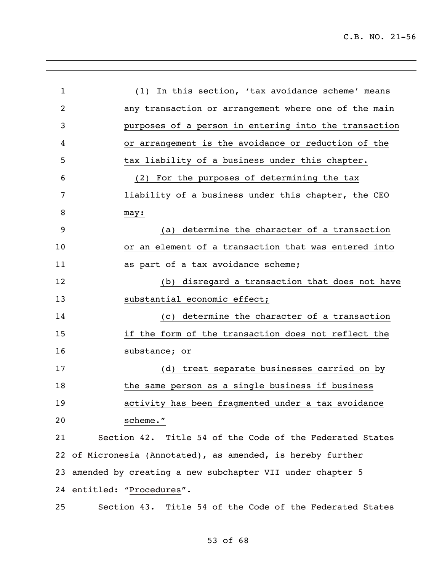| $\mathbf{1}$   | (1) In this section, 'tax avoidance scheme' means           |
|----------------|-------------------------------------------------------------|
| $\overline{2}$ | any transaction or arrangement where one of the main        |
| 3              | purposes of a person in entering into the transaction       |
| 4              | or arrangement is the avoidance or reduction of the         |
| 5              | tax liability of a business under this chapter.             |
| 6              | (2) For the purposes of determining the tax                 |
| 7              | liability of a business under this chapter, the CEO         |
| 8              | may:                                                        |
| 9              | determine the character of a transaction<br>(a)             |
| 10             | or an element of a transaction that was entered into        |
| 11             | as part of a tax avoidance scheme;                          |
| 12             | (b) disregard a transaction that does not have              |
| 13             | substantial economic effect;                                |
| 14             | (c) determine the character of a transaction                |
| 15             | if the form of the transaction does not reflect the         |
| 16             | substance; or                                               |
| 17             | (d) treat separate businesses carried on by                 |
| 18             | the same person as a single business if business            |
| 19             | activity has been fragmented under a tax avoidance          |
| 20             | scheme."                                                    |
| 21             | Section 42. Title 54 of the Code of the Federated States    |
|                | 22 of Micronesia (Annotated), as amended, is hereby further |
|                | 23 amended by creating a new subchapter VII under chapter 5 |
|                | 24 entitled: "Procedures".                                  |
| 25             | Section 43. Title 54 of the Code of the Federated States    |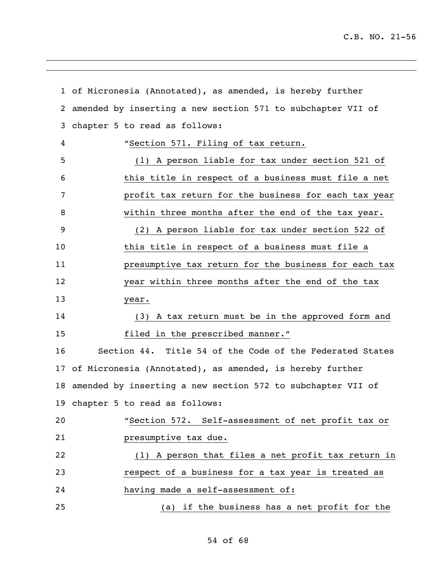|    | 1 of Micronesia (Annotated), as amended, is hereby further  |
|----|-------------------------------------------------------------|
| 2  | amended by inserting a new section 571 to subchapter VII of |
| 3  | chapter 5 to read as follows:                               |
| 4  | "Section 571. Filing of tax return.                         |
| 5  | (1) A person liable for tax under section 521 of            |
| 6  | this title in respect of a business must file a net         |
| 7  | profit tax return for the business for each tax year        |
| 8  | within three months after the end of the tax year.          |
| 9  | (2) A person liable for tax under section 522 of            |
| 10 | this title in respect of a business must file a             |
| 11 | presumptive tax return for the business for each tax        |
| 12 | year within three months after the end of the tax           |
| 13 | year.                                                       |
| 14 | (3) A tax return must be in the approved form and           |
| 15 | filed in the prescribed manner."                            |
| 16 | Section 44. Title 54 of the Code of the Federated States    |
| 17 | of Micronesia (Annotated), as amended, is hereby further    |
| 18 | amended by inserting a new section 572 to subchapter VII of |
|    | 19 chapter 5 to read as follows:                            |
| 20 | "Section 572. Self-assessment of net profit tax or          |
| 21 | presumptive tax due.                                        |
| 22 | (1) A person that files a net profit tax return in          |
| 23 | respect of a business for a tax year is treated as          |
| 24 | having made a self-assessment of:                           |
| 25 | (a) if the business has a net profit for the                |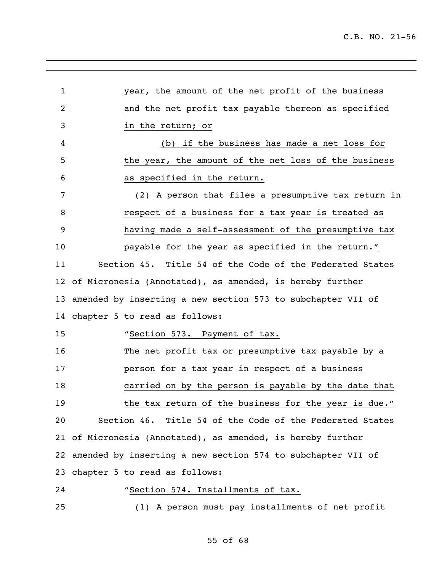| 1              | year, the amount of the net profit of the business             |
|----------------|----------------------------------------------------------------|
| $\overline{2}$ | and the net profit tax payable thereon as specified            |
| 3              | in the return; or                                              |
| 4              | (b) if the business has made a net loss for                    |
| 5              | the year, the amount of the net loss of the business           |
| 6              | as specified in the return.                                    |
| 7              | (2) A person that files a presumptive tax return in            |
| 8              | respect of a business for a tax year is treated as             |
| 9              | having made a self-assessment of the presumptive tax           |
| 10             | payable for the year as specified in the return."              |
| 11             | Section 45. Title 54 of the Code of the Federated States       |
|                | 12 of Micronesia (Annotated), as amended, is hereby further    |
|                | 13 amended by inserting a new section 573 to subchapter VII of |
|                | 14 chapter 5 to read as follows:                               |
| 15             | "Section 573. Payment of tax.                                  |
| 16             | The net profit tax or presumptive tax payable by a             |
| 17             | person for a tax year in respect of a business                 |
| 18             | carried on by the person is payable by the date that           |
| 19             | the tax return of the business for the year is due."           |
| 20             | Section 46. Title 54 of the Code of the Federated States       |
|                | 21 of Micronesia (Annotated), as amended, is hereby further    |
|                | 22 amended by inserting a new section 574 to subchapter VII of |
|                | 23 chapter 5 to read as follows:                               |
| 24             | "Section 574. Installments of tax.                             |
| 25             | (1) A person must pay installments of net profit               |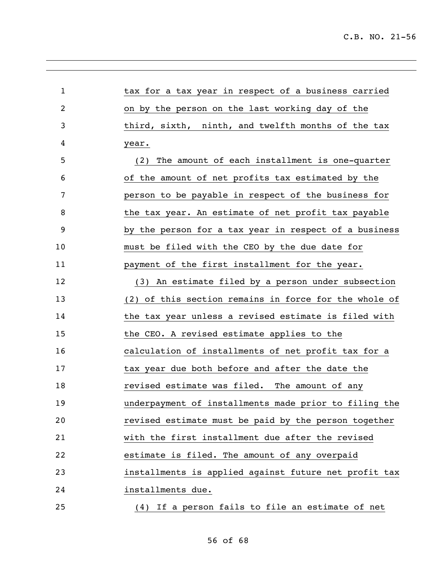| $\mathbf{1}$ | tax for a tax year in respect of a business carried   |
|--------------|-------------------------------------------------------|
| 2            | on by the person on the last working day of the       |
| 3            | third, sixth, ninth, and twelfth months of the tax    |
| 4            | year.                                                 |
| 5            | The amount of each installment is one-quarter<br>(2)  |
| 6            | of the amount of net profits tax estimated by the     |
| 7            | person to be payable in respect of the business for   |
| 8            | the tax year. An estimate of net profit tax payable   |
| 9            | by the person for a tax year in respect of a business |
| 10           | must be filed with the CEO by the due date for        |
| 11           | payment of the first installment for the year.        |
| 12           | (3) An estimate filed by a person under subsection    |
| 13           | (2) of this section remains in force for the whole of |
| 14           | the tax year unless a revised estimate is filed with  |
| 15           | the CEO. A revised estimate applies to the            |
| 16           | calculation of installments of net profit tax for a   |
| 17           | tax year due both before and after the date the       |
| 18           | revised estimate was filed. The amount of any         |
| 19           | underpayment of installments made prior to filing the |
| 20           | revised estimate must be paid by the person together  |
| 21           | with the first installment due after the revised      |
| 22           | estimate is filed. The amount of any overpaid         |
| 23           | installments is applied against future net profit tax |
| 24           | installments due.                                     |
| 25           | (4) If a person fails to file an estimate of net      |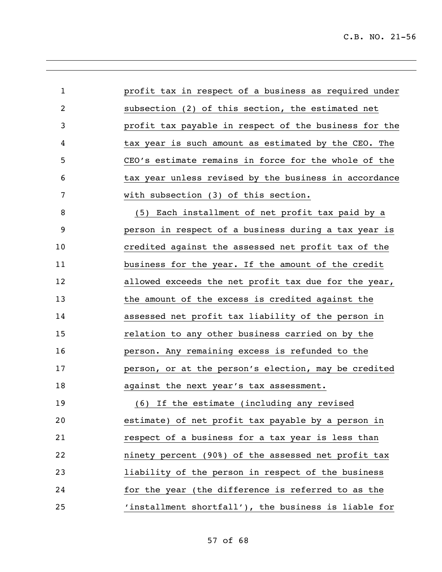| 1                       | profit tax in respect of a business as required under |
|-------------------------|-------------------------------------------------------|
| $\overline{\mathbf{c}}$ | subsection (2) of this section, the estimated net     |
| 3                       | profit tax payable in respect of the business for the |
| 4                       | tax year is such amount as estimated by the CEO. The  |
| 5                       | CEO's estimate remains in force for the whole of the  |
| 6                       | tax year unless revised by the business in accordance |
| 7                       | with subsection (3) of this section.                  |
| 8                       | (5) Each installment of net profit tax paid by a      |
| 9                       | person in respect of a business during a tax year is  |
| 10                      | credited against the assessed net profit tax of the   |
| 11                      | business for the year. If the amount of the credit    |
| 12                      | allowed exceeds the net profit tax due for the year,  |
| 13                      | the amount of the excess is credited against the      |
| 14                      | assessed net profit tax liability of the person in    |
| 15                      | relation to any other business carried on by the      |
| 16                      | person. Any remaining excess is refunded to the       |
| 17                      | person, or at the person's election, may be credited  |
| 18                      | against the next year's tax assessment.               |
| 19                      | (6) If the estimate (including any revised            |
| 20                      | estimate) of net profit tax payable by a person in    |
| 21                      | respect of a business for a tax year is less than     |
| 22                      | ninety percent (90%) of the assessed net profit tax   |
| 23                      | liability of the person in respect of the business    |
| 24                      | for the year (the difference is referred to as the    |
| 25                      | 'installment shortfall'), the business is liable for  |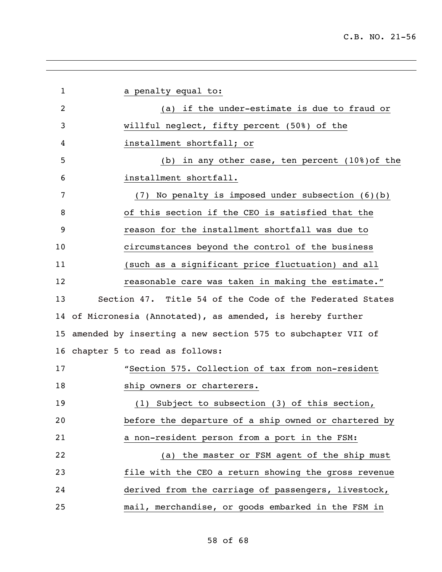| 1  | a penalty equal to:                                            |
|----|----------------------------------------------------------------|
| 2  | (a) if the under-estimate is due to fraud or                   |
| 3  | willful neglect, fifty percent (50%) of the                    |
| 4  | installment shortfall; or                                      |
| 5  | (b) in any other case, ten percent (10%) of the                |
| 6  | installment shortfall.                                         |
| 7  | (7) No penalty is imposed under subsection (6)(b)              |
| 8  | of this section if the CEO is satisfied that the               |
| 9  | reason for the installment shortfall was due to                |
| 10 | circumstances beyond the control of the business               |
| 11 | (such as a significant price fluctuation) and all              |
| 12 | reasonable care was taken in making the estimate."             |
| 13 | Section 47. Title 54 of the Code of the Federated States       |
|    | 14 of Micronesia (Annotated), as amended, is hereby further    |
|    | 15 amended by inserting a new section 575 to subchapter VII of |
|    | 16 chapter 5 to read as follows:                               |
| 17 | "Section 575. Collection of tax from non-resident              |
| 18 | ship owners or charterers.                                     |
| 19 | (1) Subject to subsection (3) of this section,                 |
| 20 | before the departure of a ship owned or chartered by           |
| 21 | a non-resident person from a port in the FSM:                  |
| 22 | (a) the master or FSM agent of the ship must                   |
| 23 | file with the CEO a return showing the gross revenue           |
| 24 | derived from the carriage of passengers, livestock,            |
| 25 | mail, merchandise, or goods embarked in the FSM in             |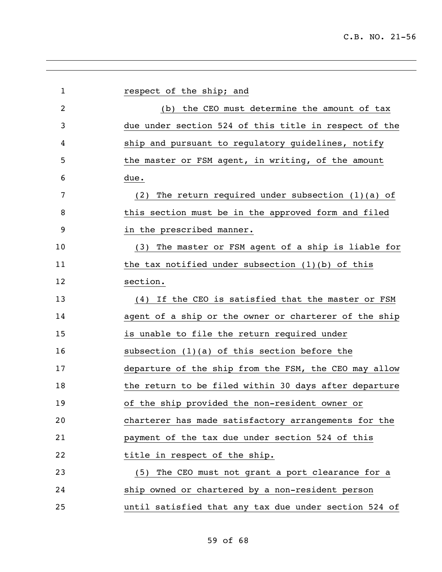| $\mathbf{1}$ | respect of the ship; and                                |
|--------------|---------------------------------------------------------|
| 2            | (b) the CEO must determine the amount of tax            |
| 3            | due under section 524 of this title in respect of the   |
| 4            | ship and pursuant to regulatory guidelines, notify      |
| 5            | the master or FSM agent, in writing, of the amount      |
| 6            | due.                                                    |
| 7            | The return required under subsection $(1)(a)$ of<br>(2) |
| 8            | this section must be in the approved form and filed     |
| 9            | in the prescribed manner.                               |
| 10           | (3) The master or FSM agent of a ship is liable for     |
| 11           | the tax notified under subsection $(1)(b)$ of this      |
| 12           | section.                                                |
| 13           | (4) If the CEO is satisfied that the master or FSM      |
| 14           | agent of a ship or the owner or charterer of the ship   |
| 15           | is unable to file the return required under             |
| 16           | subsection $(1)(a)$ of this section before the          |
| 17           | departure of the ship from the FSM, the CEO may allow   |
| 18           | the return to be filed within 30 days after departure   |
| 19           | of the ship provided the non-resident owner or          |
| 20           | charterer has made satisfactory arrangements for the    |
| 21           | payment of the tax due under section 524 of this        |
| 22           | title in respect of the ship.                           |
| 23           | (5) The CEO must not grant a port clearance for a       |
| 24           | ship owned or chartered by a non-resident person        |
| 25           | until satisfied that any tax due under section 524 of   |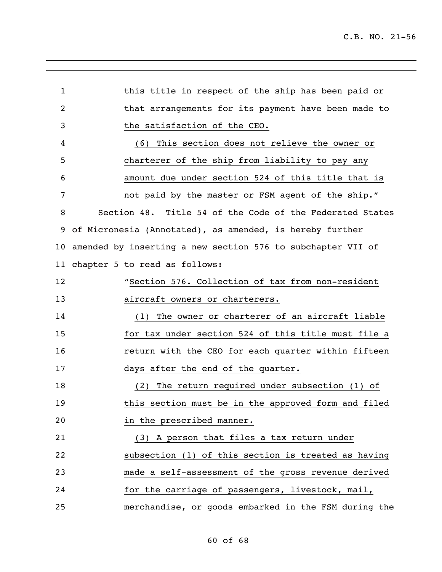| $\mathbf{1}$    | this title in respect of the ship has been paid or          |
|-----------------|-------------------------------------------------------------|
| $\overline{2}$  | that arrangements for its payment have been made to         |
| 3               | the satisfaction of the CEO.                                |
| 4               | (6) This section does not relieve the owner or              |
| 5               | charterer of the ship from liability to pay any             |
| 6               | amount due under section 524 of this title that is          |
| 7               | not paid by the master or FSM agent of the ship."           |
| 8               | Section 48. Title 54 of the Code of the Federated States    |
| 9               | of Micronesia (Annotated), as amended, is hereby further    |
| 10 <sub>o</sub> | amended by inserting a new section 576 to subchapter VII of |
| 11 <sub>1</sub> | chapter 5 to read as follows:                               |
| 12              | "Section 576. Collection of tax from non-resident           |
| 13              | aircraft owners or charterers.                              |
| 14              | (1) The owner or charterer of an aircraft liable            |
| 15              | for tax under section 524 of this title must file a         |
| 16              | return with the CEO for each quarter within fifteen         |
| 17              | days after the end of the quarter.                          |
| 18              | The return required under subsection (1) of<br>(2)          |
| 19              | this section must be in the approved form and filed         |
| 20              | in the prescribed manner.                                   |
| 21              | (3) A person that files a tax return under                  |
| 22              | subsection (1) of this section is treated as having         |
| 23              | made a self-assessment of the gross revenue derived         |
| 24              | for the carriage of passengers, livestock, mail,            |
| 25              | merchandise, or goods embarked in the FSM during the        |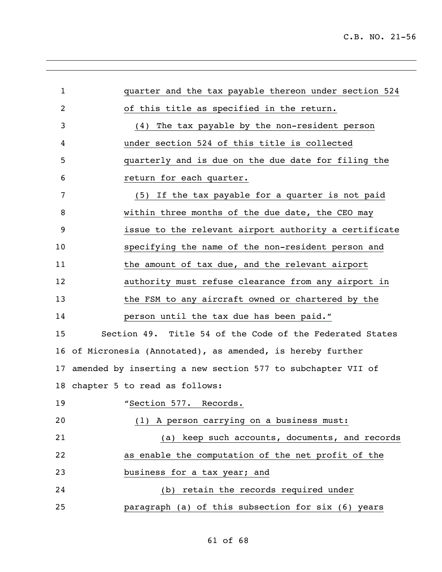| $\mathbf 1$ | quarter and the tax payable thereon under section 524          |
|-------------|----------------------------------------------------------------|
| 2           | of this title as specified in the return.                      |
| 3           | (4) The tax payable by the non-resident person                 |
| 4           | under section 524 of this title is collected                   |
| 5           | quarterly and is due on the due date for filing the            |
| 6           | return for each quarter.                                       |
| 7           | (5) If the tax payable for a quarter is not paid               |
| 8           | within three months of the due date, the CEO may               |
| 9           | issue to the relevant airport authority a certificate          |
| 10          | specifying the name of the non-resident person and             |
| 11          | the amount of tax due, and the relevant airport                |
| 12          | authority must refuse clearance from any airport in            |
| 13          | the FSM to any aircraft owned or chartered by the              |
| 14          | person until the tax due has been paid."                       |
| 15          | Section 49. Title 54 of the Code of the Federated States       |
|             | 16 of Micronesia (Annotated), as amended, is hereby further    |
|             | 17 amended by inserting a new section 577 to subchapter VII of |
| 18          | chapter 5 to read as follows:                                  |
| 19          | "Section 577. Records.                                         |
| 20          | (1) A person carrying on a business must:                      |
| 21          | (a) keep such accounts, documents, and records                 |
| 22          | as enable the computation of the net profit of the             |
| 23          | business for a tax year; and                                   |
| 24          | (b) retain the records required under                          |
| 25          | paragraph (a) of this subsection for six (6) years             |

# of 68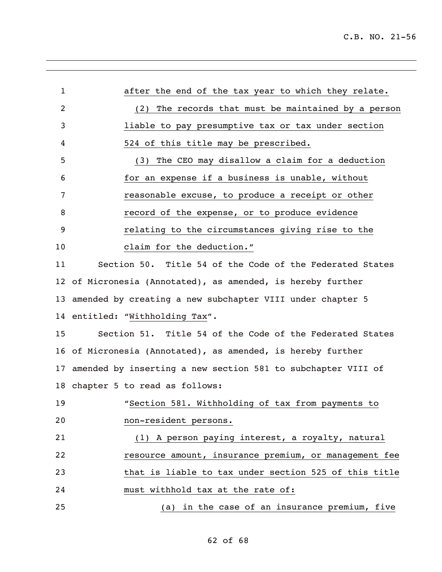| 1              | after the end of the tax year to which they relate.          |
|----------------|--------------------------------------------------------------|
| $\overline{2}$ | The records that must be maintained by a person<br>(2)       |
| 3              | liable to pay presumptive tax or tax under section           |
| 4              | 524 of this title may be prescribed.                         |
| 5              | The CEO may disallow a claim for a deduction<br>(3)          |
| 6              | for an expense if a business is unable, without              |
| 7              | reasonable excuse, to produce a receipt or other             |
| 8              | record of the expense, or to produce evidence                |
| 9              | relating to the circumstances giving rise to the             |
| 10             | claim for the deduction."                                    |
| 11             | Section 50. Title 54 of the Code of the Federated States     |
| 12             | of Micronesia (Annotated), as amended, is hereby further     |
| 13             | amended by creating a new subchapter VIII under chapter 5    |
|                | 14 entitled: "Withholding Tax".                              |
| 15             | Section 51. Title 54 of the Code of the Federated States     |
|                | 16 of Micronesia (Annotated), as amended, is hereby further  |
| 17             | amended by inserting a new section 581 to subchapter VIII of |
|                | 18 chapter 5 to read as follows:                             |
| 19             | "Section 581. Withholding of tax from payments to            |
| 20             | non-resident persons.                                        |
| 21             | (1) A person paying interest, a royalty, natural             |
| 22             | resource amount, insurance premium, or management fee        |
| 23             | that is liable to tax under section 525 of this title        |
| 24             | must withhold tax at the rate of:                            |
| 25             | in the case of an insurance premium, five<br>(a)             |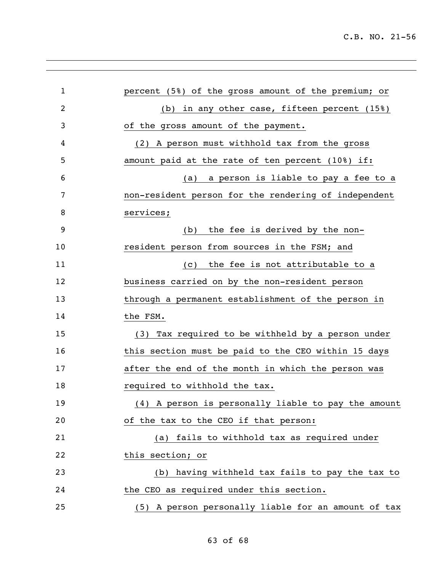| $\mathbf{1}$ | percent (5%) of the gross amount of the premium; or  |
|--------------|------------------------------------------------------|
| 2            | (b) in any other case, fifteen percent (15%)         |
| 3            | of the gross amount of the payment.                  |
| 4            | (2) A person must withhold tax from the gross        |
| 5            | amount paid at the rate of ten percent (10%) if:     |
| 6            | a person is liable to pay a fee to a<br>(a)          |
| 7            | non-resident person for the rendering of independent |
| 8            | services;                                            |
| 9            | the fee is derived by the non-<br>(b)                |
| 10           | resident person from sources in the FSM; and         |
| 11           | the fee is not attributable to a<br>(C)              |
| 12           | business carried on by the non-resident person       |
| 13           | through a permanent establishment of the person in   |
| 14           | the FSM.                                             |
| 15           | (3) Tax required to be withheld by a person under    |
| 16           | this section must be paid to the CEO within 15 days  |
| 17           | after the end of the month in which the person was   |
| 18           | required to withhold the tax.                        |
| 19           | (4) A person is personally liable to pay the amount  |
| 20           | of the tax to the CEO if that person:                |
| 21           | (a) fails to withhold tax as required under          |
| 22           | this section; or                                     |
| 23           | (b) having withheld tax fails to pay the tax to      |
| 24           | the CEO as required under this section.              |
| 25           | (5) A person personally liable for an amount of tax  |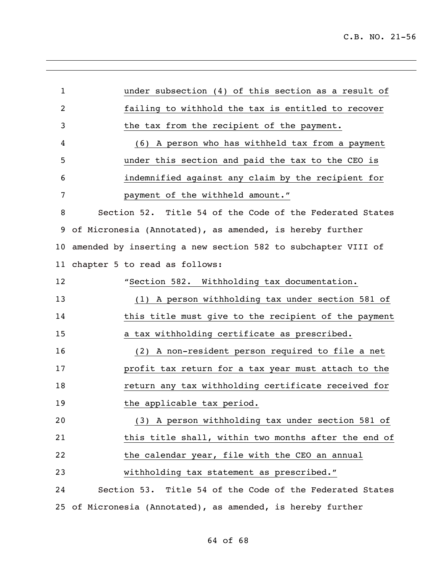| 1               | under subsection (4) of this section as a result of          |
|-----------------|--------------------------------------------------------------|
| 2               | failing to withhold the tax is entitled to recover           |
| 3               | the tax from the recipient of the payment.                   |
| 4               | (6) A person who has withheld tax from a payment             |
| 5               | under this section and paid the tax to the CEO is            |
| 6               | indemnified against any claim by the recipient for           |
| 7               | payment of the withheld amount."                             |
| 8               | Section 52. Title 54 of the Code of the Federated States     |
| 9               | of Micronesia (Annotated), as amended, is hereby further     |
| 10 <sub>1</sub> | amended by inserting a new section 582 to subchapter VIII of |
|                 | 11 chapter 5 to read as follows:                             |
| 12              | "Section 582. Withholding tax documentation.                 |
| 13              | (1) A person withholding tax under section 581 of            |
| 14              | this title must give to the recipient of the payment         |
| 15              | a tax withholding certificate as prescribed.                 |
| 16              | (2) A non-resident person required to file a net             |
| 17              | profit tax return for a tax year must attach to the          |
| 18              | return any tax withholding certificate received for          |
| 19              | the applicable tax period.                                   |
| 20              | (3) A person withholding tax under section 581 of            |
| 21              | this title shall, within two months after the end of         |
| 22              | the calendar year, file with the CEO an annual               |
| 23              | withholding tax statement as prescribed."                    |
| 24              | Section 53. Title 54 of the Code of the Federated States     |
| 25              | of Micronesia (Annotated), as amended, is hereby further     |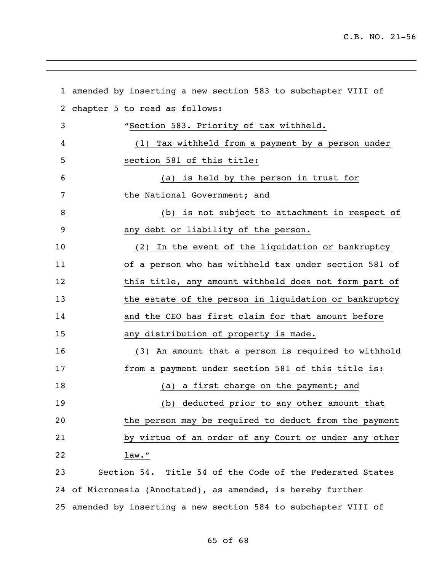|    | 1 amended by inserting a new section 583 to subchapter VIII of  |
|----|-----------------------------------------------------------------|
| 2  | chapter 5 to read as follows:                                   |
| 3  | "Section 583. Priority of tax withheld.                         |
| 4  | (1) Tax withheld from a payment by a person under               |
| 5  | section 581 of this title:                                      |
| 6  | (a) is held by the person in trust for                          |
| 7  | the National Government; and                                    |
| 8  | (b) is not subject to attachment in respect of                  |
| 9  | any debt or liability of the person.                            |
| 10 | (2) In the event of the liquidation or bankruptcy               |
| 11 | of a person who has withheld tax under section 581 of           |
| 12 | this title, any amount withheld does not form part of           |
| 13 | the estate of the person in liquidation or bankruptcy           |
| 14 | and the CEO has first claim for that amount before              |
| 15 | any distribution of property is made.                           |
| 16 | (3) An amount that a person is required to withhold             |
| 17 | from a payment under section 581 of this title is:              |
| 18 | (a) a first charge on the payment; and                          |
| 19 | (b) deducted prior to any other amount that                     |
| 20 | the person may be required to deduct from the payment           |
| 21 | by virtue of an order of any Court or under any other           |
| 22 | $1$ aw. $''$                                                    |
| 23 | Section 54. Title 54 of the Code of the Federated States        |
|    | 24 of Micronesia (Annotated), as amended, is hereby further     |
|    | 25 amended by inserting a new section 584 to subchapter VIII of |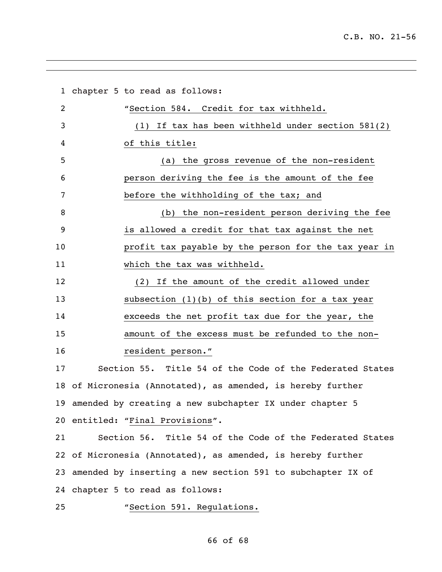chapter 5 to read as follows: "Section 584. Credit for tax withheld. (1) If tax has been withheld under section 581(2) of this title: (a) the gross revenue of the non-resident person deriving the fee is the amount of the fee before the withholding of the tax; and (b) the non-resident person deriving the fee is allowed a credit for that tax against the net profit tax payable by the person for the tax year in which the tax was withheld. (2) If the amount of the credit allowed under subsection (1)(b) of this section for a tax year exceeds the net profit tax due for the year, the amount of the excess must be refunded to the non- resident person." Section 55. Title 54 of the Code of the Federated States of Micronesia (Annotated), as amended, is hereby further amended by creating a new subchapter IX under chapter 5 entitled: "Final Provisions". Section 56. Title 54 of the Code of the Federated States of Micronesia (Annotated), as amended, is hereby further amended by inserting a new section 591 to subchapter IX of chapter 5 to read as follows: "Section 591. Regulations.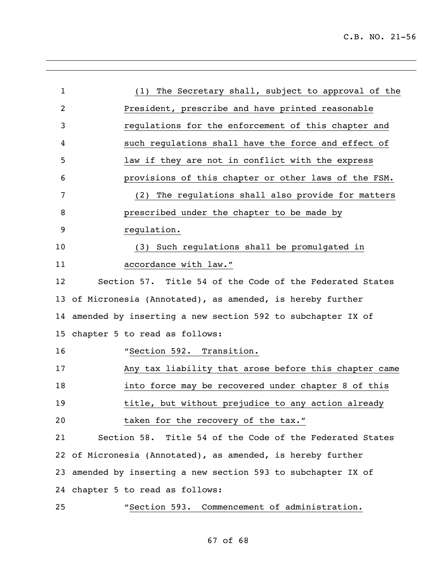| $\mathbf{1}$    | (1) The Secretary shall, subject to approval of the           |
|-----------------|---------------------------------------------------------------|
| $\overline{2}$  | President, prescribe and have printed reasonable              |
| 3               | regulations for the enforcement of this chapter and           |
| 4               | such regulations shall have the force and effect of           |
| 5               | law if they are not in conflict with the express              |
| 6               | provisions of this chapter or other laws of the FSM.          |
| 7               | The regulations shall also provide for matters<br>(2)         |
| 8               | prescribed under the chapter to be made by                    |
| 9               | regulation.                                                   |
| 10              | (3) Such regulations shall be promulgated in                  |
| 11              | accordance with law."                                         |
| 12              | Section 57. Title 54 of the Code of the Federated States      |
| 13              | of Micronesia (Annotated), as amended, is hereby further      |
|                 | 14 amended by inserting a new section 592 to subchapter IX of |
| 15 <sub>1</sub> | chapter 5 to read as follows:                                 |
| 16              | "Section 592. Transition.                                     |
| 17              | Any tax liability that arose before this chapter came         |
| 18              | into force may be recovered under chapter 8 of this           |
| 19              | title, but without prejudice to any action already            |
| 20              | taken for the recovery of the tax."                           |
| 21              | Section 58. Title 54 of the Code of the Federated States      |
|                 | 22 of Micronesia (Annotated), as amended, is hereby further   |
|                 | 23 amended by inserting a new section 593 to subchapter IX of |
|                 | 24 chapter 5 to read as follows:                              |
| 25              | "Section 593. Commencement of administration.                 |

### of 68